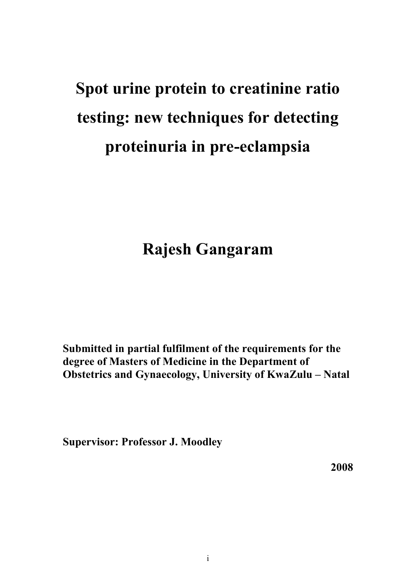# **Spot urine protein to creatinine ratio testing: new techniques for detecting proteinuria in pre-eclampsia**

## **Rajesh Gangaram**

**Submitted in partial fulfilment of the requirements for the degree of Masters of Medicine in the Department of Obstetrics and Gynaecology, University of KwaZulu – Natal**

**Supervisor: Professor J. Moodley**

**2008**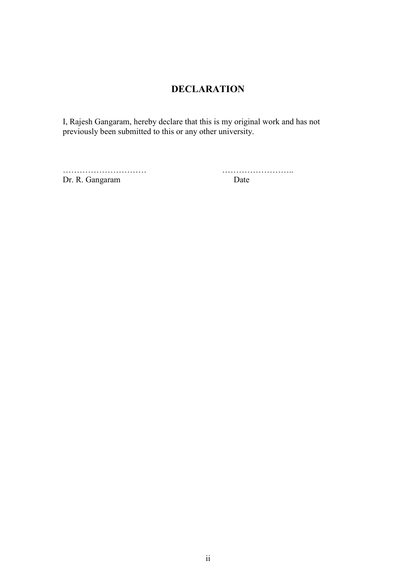## **DECLARATION**

I, Rajesh Gangaram, hereby declare that this is my original work and has not previously been submitted to this or any other university.

Dr. R. Gangaram Date

………………………… ……………………..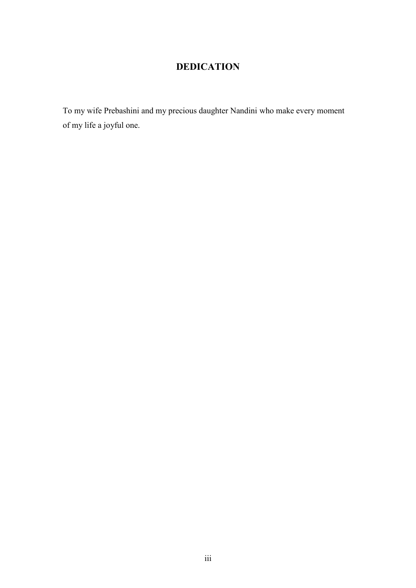## **DEDICATION**

To my wife Prebashini and my precious daughter Nandini who make every moment of my life a joyful one.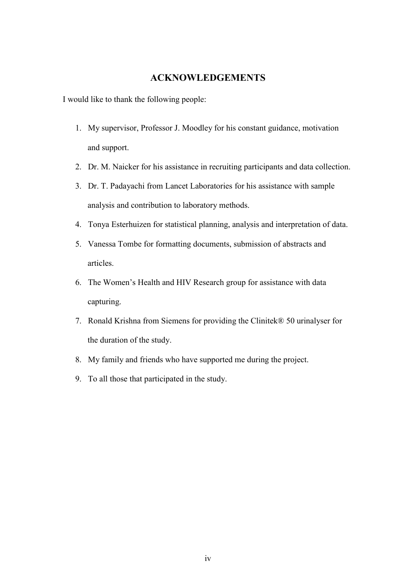#### **ACKNOWLEDGEMENTS**

I would like to thank the following people:

- 1. My supervisor, Professor J. Moodley for his constant guidance, motivation and support.
- 2. Dr. M. Naicker for his assistance in recruiting participants and data collection.
- 3. Dr. T. Padayachi from Lancet Laboratories for his assistance with sample analysis and contribution to laboratory methods.
- 4. Tonya Esterhuizen for statistical planning, analysis and interpretation of data.
- 5. Vanessa Tombe for formatting documents, submission of abstracts and articles.
- 6. The Women's Health and HIV Research group for assistance with data capturing.
- 7. Ronald Krishna from Siemens for providing the Clinitek® 50 urinalyser for the duration of the study.
- 8. My family and friends who have supported me during the project.
- 9. To all those that participated in the study.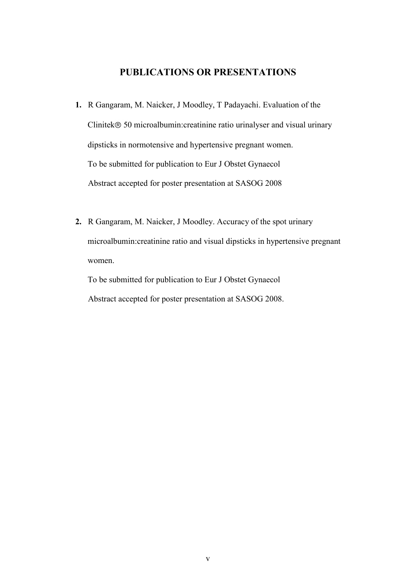#### **PUBLICATIONS OR PRESENTATIONS**

- **1.** R Gangaram, M. Naicker, J Moodley, T Padayachi. Evaluation of the Clinitek<sup>®</sup> 50 microalbumin:creatinine ratio urinalyser and visual urinary dipsticks in normotensive and hypertensive pregnant women. To be submitted for publication to Eur J Obstet Gynaecol Abstract accepted for poster presentation at SASOG 2008
- **2.** R Gangaram, M. Naicker, J Moodley. Accuracy of the spot urinary microalbumin:creatinine ratio and visual dipsticks in hypertensive pregnant women.

To be submitted for publication to Eur J Obstet Gynaecol Abstract accepted for poster presentation at SASOG 2008.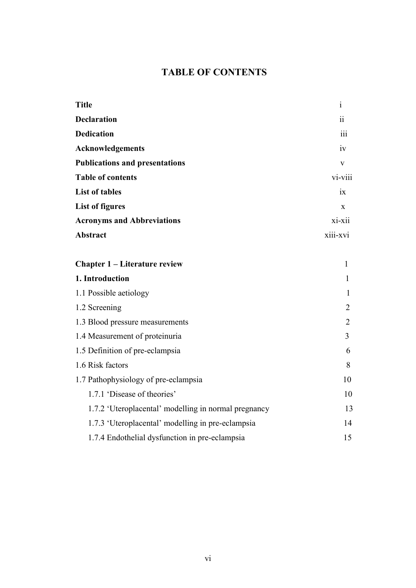## **TABLE OF CONTENTS**

| <b>Title</b>                                         | $\mathbf{1}$    |
|------------------------------------------------------|-----------------|
| <b>Declaration</b>                                   | $\ddot{\rm ii}$ |
| <b>Dedication</b>                                    | 111             |
| Acknowledgements                                     | iv              |
| <b>Publications and presentations</b>                | $\mathbf{V}$    |
| <b>Table of contents</b>                             | vi-viii         |
| <b>List of tables</b>                                | ix              |
| <b>List of figures</b>                               | $\mathbf{X}$    |
| <b>Acronyms and Abbreviations</b>                    | xi-xii          |
| <b>Abstract</b>                                      | xiii-xvi        |
|                                                      |                 |
| <b>Chapter 1 – Literature review</b>                 | 1               |
| 1. Introduction                                      | $\mathbf{1}$    |
| 1.1 Possible aetiology                               | 1               |
| 1.2 Screening                                        | $\overline{2}$  |
| 1.3 Blood pressure measurements                      | $\overline{2}$  |
| 1.4 Measurement of proteinuria                       | 3               |
| 1.5 Definition of pre-eclampsia                      | 6               |
| 1.6 Risk factors                                     | 8               |
| 1.7 Pathophysiology of pre-eclampsia                 | 10              |
| 1.7.1 'Disease of theories'                          | 10              |
| 1.7.2 'Uteroplacental' modelling in normal pregnancy | 13              |
| 1.7.3 'Uteroplacental' modelling in pre-eclampsia    | 14              |
| 1.7.4 Endothelial dysfunction in pre-eclampsia       | 15              |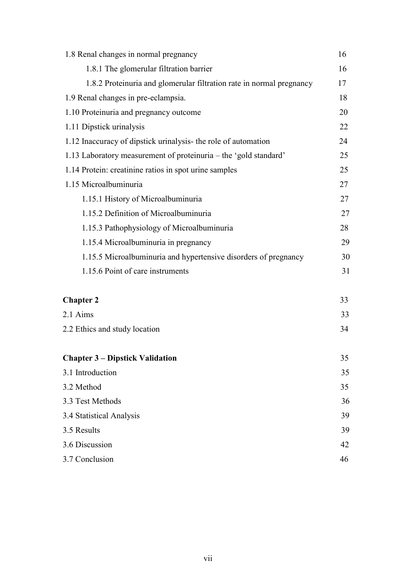| 1.8 Renal changes in normal pregnancy                                |    |  |  |
|----------------------------------------------------------------------|----|--|--|
| 1.8.1 The glomerular filtration barrier                              | 16 |  |  |
| 1.8.2 Proteinuria and glomerular filtration rate in normal pregnancy |    |  |  |
| 1.9 Renal changes in pre-eclampsia.                                  | 18 |  |  |
| 1.10 Proteinuria and pregnancy outcome                               | 20 |  |  |
| 1.11 Dipstick urinalysis                                             | 22 |  |  |
| 1.12 Inaccuracy of dipstick urinalysis- the role of automation       | 24 |  |  |
| 1.13 Laboratory measurement of proteinuria – the 'gold standard'     | 25 |  |  |
| 1.14 Protein: creatinine ratios in spot urine samples                | 25 |  |  |
| 1.15 Microalbuminuria                                                | 27 |  |  |
| 1.15.1 History of Microalbuminuria                                   | 27 |  |  |
| 1.15.2 Definition of Microalbuminuria                                | 27 |  |  |
| 1.15.3 Pathophysiology of Microalbuminuria                           | 28 |  |  |
| 1.15.4 Microalbuminuria in pregnancy                                 | 29 |  |  |
| 1.15.5 Microalbuminuria and hypertensive disorders of pregnancy      | 30 |  |  |
| 1.15.6 Point of care instruments                                     | 31 |  |  |
|                                                                      |    |  |  |
| <b>Chapter 2</b>                                                     | 33 |  |  |
| 2.1 Aims                                                             | 33 |  |  |
| 2.2 Ethics and study location                                        | 34 |  |  |
|                                                                      |    |  |  |
| <b>Chapter 3 – Dipstick Validation</b>                               | 35 |  |  |
| 3.1 Introduction                                                     | 35 |  |  |
| 3.2 Method                                                           | 35 |  |  |
| 3.3 Test Methods                                                     | 36 |  |  |
| 3.4 Statistical Analysis                                             | 39 |  |  |
| 3.5 Results                                                          | 39 |  |  |
| 3.6 Discussion                                                       | 42 |  |  |
| 3.7 Conclusion                                                       |    |  |  |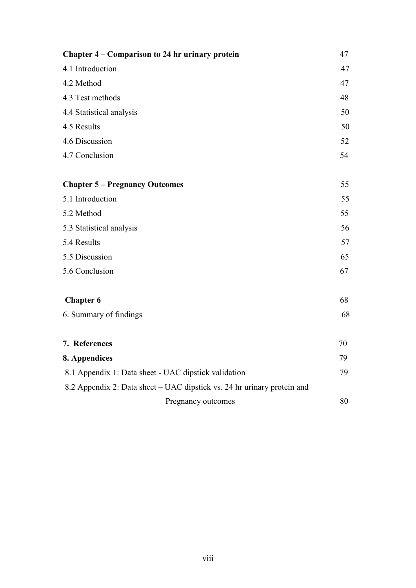| Chapter 4 – Comparison to 24 hr urinary protein                         |    |
|-------------------------------------------------------------------------|----|
| 4.1 Introduction                                                        | 47 |
| 4.2 Method                                                              | 47 |
| 4.3 Test methods                                                        | 48 |
| 4.4 Statistical analysis                                                | 50 |
| 4.5 Results                                                             | 50 |
| 4.6 Discussion                                                          | 52 |
| 4.7 Conclusion                                                          | 54 |
| <b>Chapter 5 – Pregnancy Outcomes</b>                                   | 55 |
| 5.1 Introduction                                                        | 55 |
| 5.2 Method                                                              | 55 |
| 5.3 Statistical analysis                                                | 56 |
| 5.4 Results                                                             | 57 |
| 5.5 Discussion                                                          | 65 |
| 5.6 Conclusion                                                          | 67 |
| <b>Chapter 6</b>                                                        | 68 |
| 6. Summary of findings                                                  | 68 |
| 7. References                                                           | 70 |
| 8. Appendices                                                           | 79 |
| 8.1 Appendix 1: Data sheet - UAC dipstick validation                    |    |
| 8.2 Appendix 2: Data sheet – UAC dipstick vs. 24 hr urinary protein and |    |
| Pregnancy outcomes                                                      | 80 |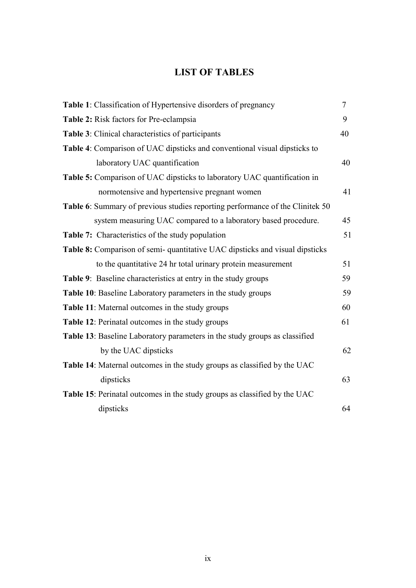## **LIST OF TABLES**

| <b>Table 1:</b> Classification of Hypertensive disorders of pregnancy                |    |  |
|--------------------------------------------------------------------------------------|----|--|
| Table 2: Risk factors for Pre-eclampsia                                              |    |  |
| Table 3: Clinical characteristics of participants                                    | 40 |  |
| Table 4: Comparison of UAC dipsticks and conventional visual dipsticks to            |    |  |
| laboratory UAC quantification                                                        | 40 |  |
| Table 5: Comparison of UAC dipsticks to laboratory UAC quantification in             |    |  |
| normotensive and hypertensive pregnant women                                         | 41 |  |
| <b>Table 6:</b> Summary of previous studies reporting performance of the Clinitek 50 |    |  |
| system measuring UAC compared to a laboratory based procedure.                       | 45 |  |
| <b>Table 7:</b> Characteristics of the study population                              | 51 |  |
| Table 8: Comparison of semi-quantitative UAC dipsticks and visual dipsticks          |    |  |
| to the quantitative 24 hr total urinary protein measurement                          | 51 |  |
| <b>Table 9:</b> Baseline characteristics at entry in the study groups                | 59 |  |
| <b>Table 10:</b> Baseline Laboratory parameters in the study groups                  | 59 |  |
| <b>Table 11:</b> Maternal outcomes in the study groups                               | 60 |  |
| Table 12: Perinatal outcomes in the study groups                                     | 61 |  |
| Table 13: Baseline Laboratory parameters in the study groups as classified           |    |  |
| by the UAC dipsticks                                                                 | 62 |  |
| <b>Table 14:</b> Maternal outcomes in the study groups as classified by the UAC      |    |  |
| dipsticks                                                                            | 63 |  |
| Table 15: Perinatal outcomes in the study groups as classified by the UAC            |    |  |
| dipsticks                                                                            | 64 |  |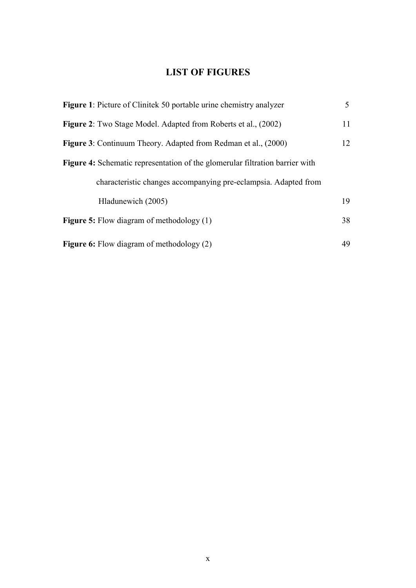## **LIST OF FIGURES**

| <b>Figure 1:</b> Picture of Clinitek 50 portable urine chemistry analyzer           | 5  |
|-------------------------------------------------------------------------------------|----|
| <b>Figure 2:</b> Two Stage Model. Adapted from Roberts et al., (2002)               | 11 |
| <b>Figure 3:</b> Continuum Theory. Adapted from Redman et al., (2000)               | 12 |
| <b>Figure 4:</b> Schematic representation of the glomerular filtration barrier with |    |
| characteristic changes accompanying pre-eclampsia. Adapted from                     |    |
| Hladunewich (2005)                                                                  | 19 |
| <b>Figure 5:</b> Flow diagram of methodology $(1)$                                  | 38 |
| <b>Figure 6:</b> Flow diagram of methodology (2)                                    | 49 |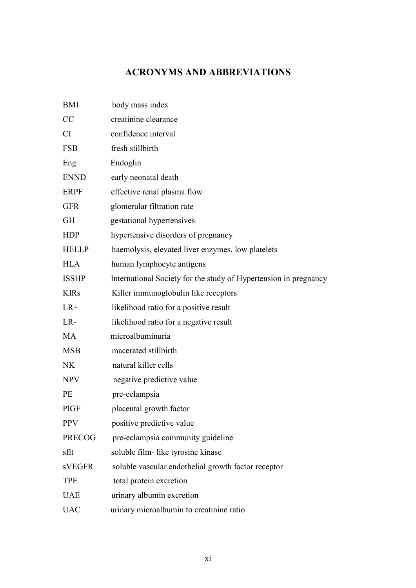## **ACRONYMS AND ABBREVIATIONS**

| <b>BMI</b>    | body mass index                                                  |  |  |
|---------------|------------------------------------------------------------------|--|--|
| CC            | creatinine clearance                                             |  |  |
| <b>CI</b>     | confidence interval                                              |  |  |
| <b>FSB</b>    | fresh stillbirth                                                 |  |  |
| Eng           | Endoglin                                                         |  |  |
| <b>ENND</b>   | early neonatal death                                             |  |  |
| <b>ERPF</b>   | effective renal plasma flow                                      |  |  |
| <b>GFR</b>    | glomerular filtration rate                                       |  |  |
| <b>GH</b>     | gestational hypertensives                                        |  |  |
| <b>HDP</b>    | hypertensive disorders of pregnancy                              |  |  |
| <b>HELLP</b>  | haemolysis, elevated liver enzymes, low platelets                |  |  |
| <b>HLA</b>    | human lymphocyte antigens                                        |  |  |
| <b>ISSHP</b>  | International Society for the study of Hypertension in pregnancy |  |  |
| <b>KIRs</b>   | Killer immunoglobulin like receptors                             |  |  |
| $LR+$         | likelihood ratio for a positive result                           |  |  |
| LR-           | likelihood ratio for a negative result                           |  |  |
| <b>MA</b>     | microalbuminuria                                                 |  |  |
| <b>MSB</b>    | macerated stillbirth                                             |  |  |
| <b>NK</b>     | natural killer cells                                             |  |  |
| <b>NPV</b>    | negative predictive value                                        |  |  |
| <b>PE</b>     | pre-eclampsia                                                    |  |  |
| <b>PIGF</b>   | placental growth factor                                          |  |  |
| <b>PPV</b>    | positive predictive value                                        |  |  |
| <b>PRECOG</b> | pre-eclampsia community guideline                                |  |  |
| sflt          | soluble film- like tyrosine kinase                               |  |  |
| <b>sVEGFR</b> | soluble vascular endothelial growth factor receptor              |  |  |
| <b>TPE</b>    | total protein excretion                                          |  |  |
| <b>UAE</b>    | urinary albumin excretion                                        |  |  |
| <b>UAC</b>    | urinary microalbumin to creatinine ratio                         |  |  |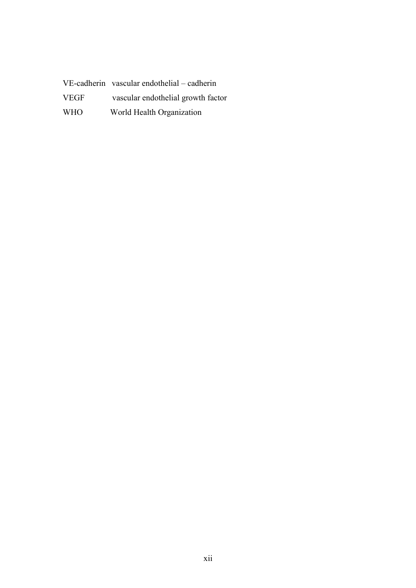VE-cadherin vascular endothelial – cadherin VEGF vascular endothelial growth factor WHO World Health Organization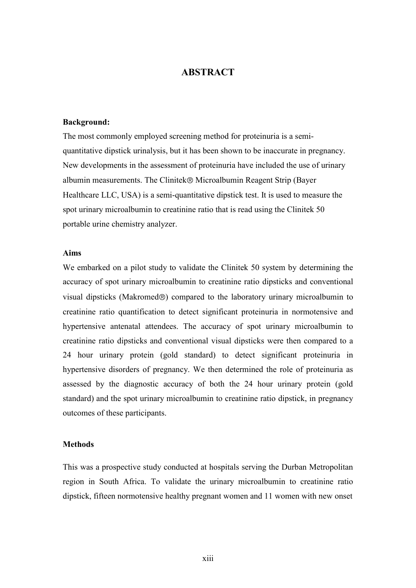#### **ABSTRACT**

#### **Background:**

The most commonly employed screening method for proteinuria is a semiquantitative dipstick urinalysis, but it has been shown to be inaccurate in pregnancy. New developments in the assessment of proteinuria have included the use of urinary albumin measurements. The Clinitek® Microalbumin Reagent Strip (Bayer Healthcare LLC, USA) is a semi-quantitative dipstick test. It is used to measure the spot urinary microalbumin to creatinine ratio that is read using the Clinitek 50 portable urine chemistry analyzer.

#### **Aims**

We embarked on a pilot study to validate the Clinitek 50 system by determining the accuracy of spot urinary microalbumin to creatinine ratio dipsticks and conventional visual dipsticks (Makromed®) compared to the laboratory urinary microalbumin to creatinine ratio quantification to detect significant proteinuria in normotensive and hypertensive antenatal attendees. The accuracy of spot urinary microalbumin to creatinine ratio dipsticks and conventional visual dipsticks were then compared to a 24 hour urinary protein (gold standard) to detect significant proteinuria in hypertensive disorders of pregnancy. We then determined the role of proteinuria as assessed by the diagnostic accuracy of both the 24 hour urinary protein (gold standard) and the spot urinary microalbumin to creatinine ratio dipstick, in pregnancy outcomes of these participants.

#### **Methods**

This was a prospective study conducted at hospitals serving the Durban Metropolitan region in South Africa. To validate the urinary microalbumin to creatinine ratio dipstick, fifteen normotensive healthy pregnant women and 11 women with new onset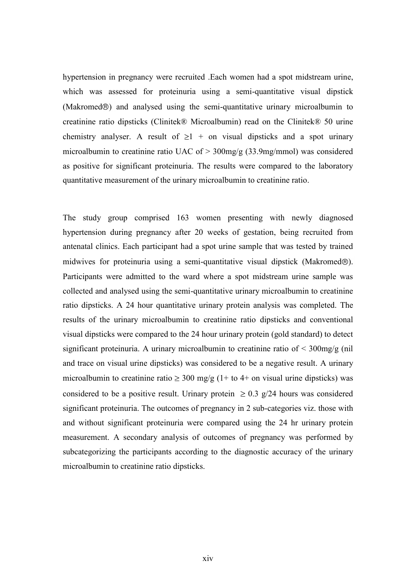hypertension in pregnancy were recruited .Each women had a spot midstream urine, which was assessed for proteinuria using a semi-quantitative visual dipstick (Makromed $\circledR$ ) and analysed using the semi-quantitative urinary microalbumin to creatinine ratio dipsticks (Clinitek® Microalbumin) read on the Clinitek® 50 urine chemistry analyser. A result of  $\geq 1$  + on visual dipsticks and a spot urinary microalbumin to creatinine ratio UAC of > 300mg/g (33.9mg/mmol) was considered as positive for significant proteinuria. The results were compared to the laboratory quantitative measurement of the urinary microalbumin to creatinine ratio.

The study group comprised 163 women presenting with newly diagnosed hypertension during pregnancy after 20 weeks of gestation, being recruited from antenatal clinics. Each participant had a spot urine sample that was tested by trained midwives for proteinuria using a semi-quantitative visual dipstick (Makromed $\circledR$ ). Participants were admitted to the ward where a spot midstream urine sample was collected and analysed using the semi-quantitative urinary microalbumin to creatinine ratio dipsticks. A 24 hour quantitative urinary protein analysis was completed. The results of the urinary microalbumin to creatinine ratio dipsticks and conventional visual dipsticks were compared to the 24 hour urinary protein (gold standard) to detect significant proteinuria. A urinary microalbumin to creatinine ratio of < 300mg/g (nil and trace on visual urine dipsticks) was considered to be a negative result. A urinary microalbumin to creatinine ratio  $\geq 300$  mg/g (1+ to 4+ on visual urine dipsticks) was considered to be a positive result. Urinary protein  $\geq 0.3$  g/24 hours was considered significant proteinuria. The outcomes of pregnancy in 2 sub-categories viz. those with and without significant proteinuria were compared using the 24 hr urinary protein measurement. A secondary analysis of outcomes of pregnancy was performed by subcategorizing the participants according to the diagnostic accuracy of the urinary microalbumin to creatinine ratio dipsticks.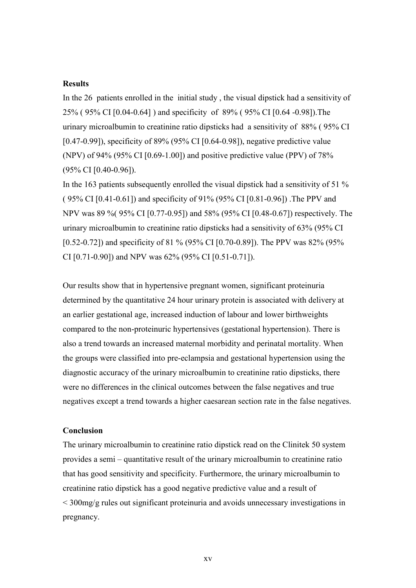#### **Results**

In the 26 patients enrolled in the initial study , the visual dipstick had a sensitivity of 25% ( 95% CI [0.04-0.64] ) and specificity of 89% ( 95% CI [0.64 -0.98]).The urinary microalbumin to creatinine ratio dipsticks had a sensitivity of 88% ( 95% CI [0.47-0.99]), specificity of 89% (95% CI [0.64-0.98]), negative predictive value (NPV) of 94% (95% CI [0.69-1.00]) and positive predictive value (PPV) of 78% (95% CI [0.40-0.96]).

In the 163 patients subsequently enrolled the visual dipstick had a sensitivity of 51 % ( 95% CI [0.41-0.61]) and specificity of 91% (95% CI [0.81-0.96]) .The PPV and NPV was 89 %( 95% CI [0.77-0.95]) and 58% (95% CI [0.48-0.67]) respectively. The urinary microalbumin to creatinine ratio dipsticks had a sensitivity of 63% (95% CI [0.52-0.72]) and specificity of 81 % (95% CI [0.70-0.89]). The PPV was 82% (95% CI [0.71-0.90]) and NPV was 62% (95% CI [0.51-0.71]).

Our results show that in hypertensive pregnant women, significant proteinuria determined by the quantitative 24 hour urinary protein is associated with delivery at an earlier gestational age, increased induction of labour and lower birthweights compared to the non-proteinuric hypertensives (gestational hypertension). There is also a trend towards an increased maternal morbidity and perinatal mortality. When the groups were classified into pre-eclampsia and gestational hypertension using the diagnostic accuracy of the urinary microalbumin to creatinine ratio dipsticks, there were no differences in the clinical outcomes between the false negatives and true negatives except a trend towards a higher caesarean section rate in the false negatives.

#### **Conclusion**

The urinary microalbumin to creatinine ratio dipstick read on the Clinitek 50 system provides a semi – quantitative result of the urinary microalbumin to creatinine ratio that has good sensitivity and specificity. Furthermore, the urinary microalbumin to creatinine ratio dipstick has a good negative predictive value and a result of < 300mg/g rules out significant proteinuria and avoids unnecessary investigations in pregnancy.

xv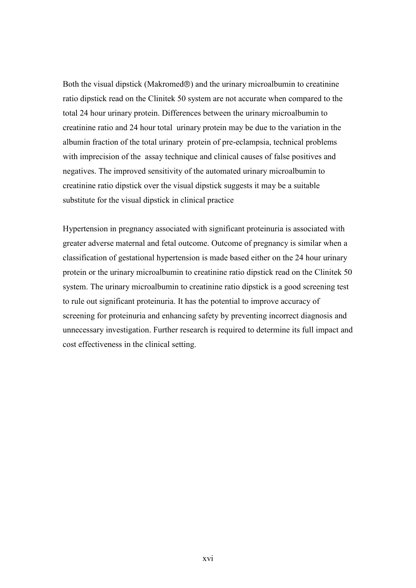Both the visual dipstick (Makromed $\circledcirc$ ) and the urinary microalbumin to creatinine ratio dipstick read on the Clinitek 50 system are not accurate when compared to the total 24 hour urinary protein. Differences between the urinary microalbumin to creatinine ratio and 24 hour total urinary protein may be due to the variation in the albumin fraction of the total urinary protein of pre-eclampsia, technical problems with imprecision of the assay technique and clinical causes of false positives and negatives. The improved sensitivity of the automated urinary microalbumin to creatinine ratio dipstick over the visual dipstick suggests it may be a suitable substitute for the visual dipstick in clinical practice

Hypertension in pregnancy associated with significant proteinuria is associated with greater adverse maternal and fetal outcome. Outcome of pregnancy is similar when a classification of gestational hypertension is made based either on the 24 hour urinary protein or the urinary microalbumin to creatinine ratio dipstick read on the Clinitek 50 system. The urinary microalbumin to creatinine ratio dipstick is a good screening test to rule out significant proteinuria. It has the potential to improve accuracy of screening for proteinuria and enhancing safety by preventing incorrect diagnosis and unnecessary investigation. Further research is required to determine its full impact and cost effectiveness in the clinical setting.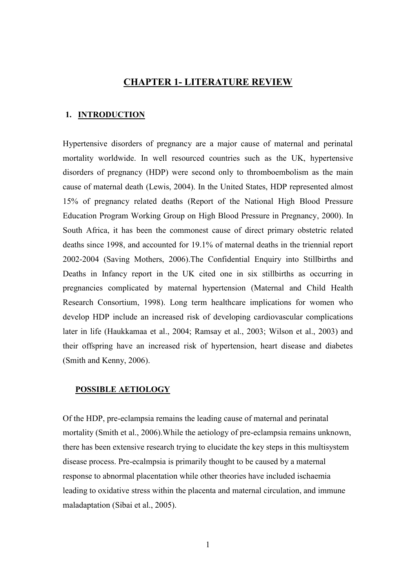#### **CHAPTER 1- LITERATURE REVIEW**

#### **1. INTRODUCTION**

Hypertensive disorders of pregnancy are a major cause of maternal and perinatal mortality worldwide. In well resourced countries such as the UK, hypertensive disorders of pregnancy (HDP) were second only to thromboembolism as the main cause of maternal death (Lewis, 2004). In the United States, HDP represented almost 15% of pregnancy related deaths (Report of the National High Blood Pressure Education Program Working Group on High Blood Pressure in Pregnancy, 2000). In South Africa, it has been the commonest cause of direct primary obstetric related deaths since 1998, and accounted for 19.1% of maternal deaths in the triennial report 2002-2004 (Saving Mothers, 2006).The Confidential Enquiry into Stillbirths and Deaths in Infancy report in the UK cited one in six stillbirths as occurring in pregnancies complicated by maternal hypertension (Maternal and Child Health Research Consortium, 1998). Long term healthcare implications for women who develop HDP include an increased risk of developing cardiovascular complications later in life (Haukkamaa et al., 2004; Ramsay et al., 2003; Wilson et al., 2003) and their offspring have an increased risk of hypertension, heart disease and diabetes (Smith and Kenny, 2006).

#### **POSSIBLE AETIOLOGY**

Of the HDP, pre-eclampsia remains the leading cause of maternal and perinatal mortality (Smith et al., 2006).While the aetiology of pre-eclampsia remains unknown, there has been extensive research trying to elucidate the key steps in this multisystem disease process. Pre-ecalmpsia is primarily thought to be caused by a maternal response to abnormal placentation while other theories have included ischaemia leading to oxidative stress within the placenta and maternal circulation, and immune maladaptation (Sibai et al., 2005).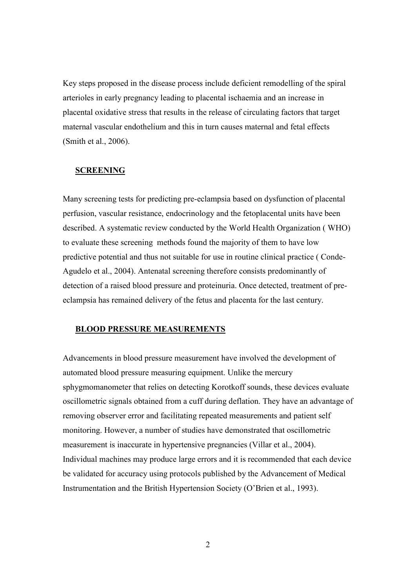Key steps proposed in the disease process include deficient remodelling of the spiral arterioles in early pregnancy leading to placental ischaemia and an increase in placental oxidative stress that results in the release of circulating factors that target maternal vascular endothelium and this in turn causes maternal and fetal effects (Smith et al., 2006).

#### **SCREENING**

Many screening tests for predicting pre-eclampsia based on dysfunction of placental perfusion, vascular resistance, endocrinology and the fetoplacental units have been described. A systematic review conducted by the World Health Organization ( WHO) to evaluate these screening methods found the majority of them to have low predictive potential and thus not suitable for use in routine clinical practice ( Conde-Agudelo et al., 2004). Antenatal screening therefore consists predominantly of detection of a raised blood pressure and proteinuria. Once detected, treatment of preeclampsia has remained delivery of the fetus and placenta for the last century.

#### **BLOOD PRESSURE MEASUREMENTS**

Advancements in blood pressure measurement have involved the development of automated blood pressure measuring equipment. Unlike the mercury sphygmomanometer that relies on detecting Korotkoff sounds, these devices evaluate oscillometric signals obtained from a cuff during deflation. They have an advantage of removing observer error and facilitating repeated measurements and patient self monitoring. However, a number of studies have demonstrated that oscillometric measurement is inaccurate in hypertensive pregnancies (Villar et al., 2004). Individual machines may produce large errors and it is recommended that each device be validated for accuracy using protocols published by the Advancement of Medical Instrumentation and the British Hypertension Society (O"Brien et al., 1993).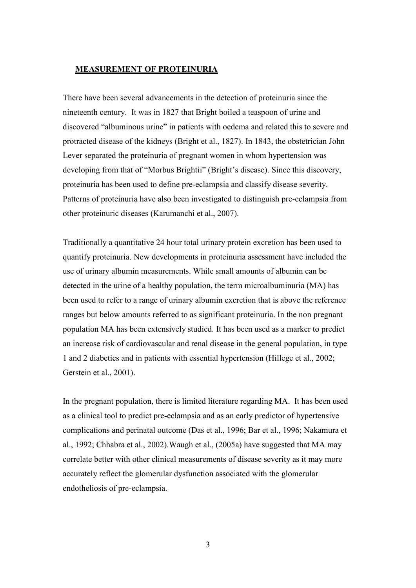#### **MEASUREMENT OF PROTEINURIA**

There have been several advancements in the detection of proteinuria since the nineteenth century. It was in 1827 that Bright boiled a teaspoon of urine and discovered "albuminous urine" in patients with oedema and related this to severe and protracted disease of the kidneys (Bright et al., 1827). In 1843, the obstetrician John Lever separated the proteinuria of pregnant women in whom hypertension was developing from that of "Morbus Brightii" (Bright's disease). Since this discovery, proteinuria has been used to define pre-eclampsia and classify disease severity. Patterns of proteinuria have also been investigated to distinguish pre-eclampsia from other proteinuric diseases (Karumanchi et al., 2007).

Traditionally a quantitative 24 hour total urinary protein excretion has been used to quantify proteinuria. New developments in proteinuria assessment have included the use of urinary albumin measurements. While small amounts of albumin can be detected in the urine of a healthy population, the term microalbuminuria (MA) has been used to refer to a range of urinary albumin excretion that is above the reference ranges but below amounts referred to as significant proteinuria. In the non pregnant population MA has been extensively studied. It has been used as a marker to predict an increase risk of cardiovascular and renal disease in the general population, in type 1 and 2 diabetics and in patients with essential hypertension (Hillege et al., 2002; Gerstein et al., 2001).

In the pregnant population, there is limited literature regarding MA. It has been used as a clinical tool to predict pre-eclampsia and as an early predictor of hypertensive complications and perinatal outcome (Das et al., 1996; Bar et al., 1996; Nakamura et al., 1992; Chhabra et al., 2002).Waugh et al., (2005a) have suggested that MA may correlate better with other clinical measurements of disease severity as it may more accurately reflect the glomerular dysfunction associated with the glomerular endotheliosis of pre-eclampsia.

3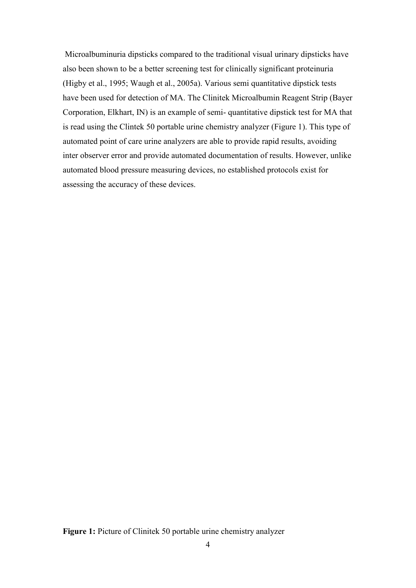Microalbuminuria dipsticks compared to the traditional visual urinary dipsticks have also been shown to be a better screening test for clinically significant proteinuria (Higby et al., 1995; Waugh et al., 2005a). Various semi quantitative dipstick tests have been used for detection of MA. The Clinitek Microalbumin Reagent Strip (Bayer Corporation, Elkhart, IN) is an example of semi- quantitative dipstick test for MA that is read using the Clintek 50 portable urine chemistry analyzer (Figure 1). This type of automated point of care urine analyzers are able to provide rapid results, avoiding inter observer error and provide automated documentation of results. However, unlike automated blood pressure measuring devices, no established protocols exist for assessing the accuracy of these devices.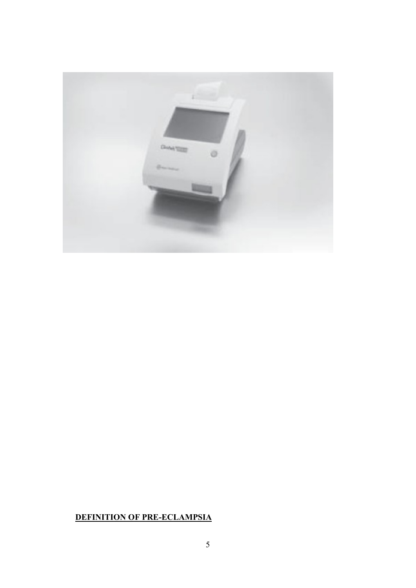

## **DEFINITION OF PRE-ECLAMPSIA**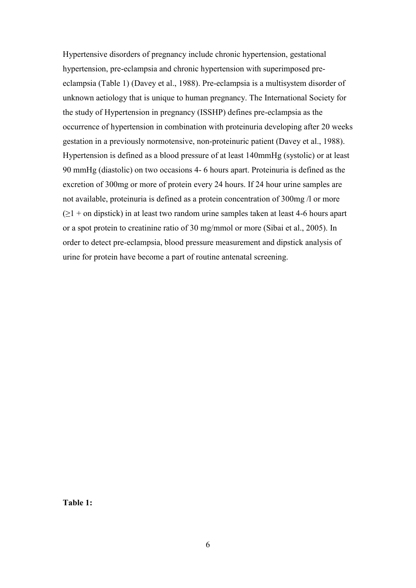Hypertensive disorders of pregnancy include chronic hypertension, gestational hypertension, pre-eclampsia and chronic hypertension with superimposed preeclampsia (Table 1) (Davey et al., 1988). Pre-eclampsia is a multisystem disorder of unknown aetiology that is unique to human pregnancy. The International Society for the study of Hypertension in pregnancy (ISSHP) defines pre-eclampsia as the occurrence of hypertension in combination with proteinuria developing after 20 weeks gestation in a previously normotensive, non-proteinuric patient (Davey et al., 1988). Hypertension is defined as a blood pressure of at least 140mmHg (systolic) or at least 90 mmHg (diastolic) on two occasions 4- 6 hours apart. Proteinuria is defined as the excretion of 300mg or more of protein every 24 hours. If 24 hour urine samples are not available, proteinuria is defined as a protein concentration of 300mg /l or more  $(\geq 1 +$  on dipstick) in at least two random urine samples taken at least 4-6 hours apart or a spot protein to creatinine ratio of 30 mg/mmol or more (Sibai et al., 2005). In order to detect pre-eclampsia, blood pressure measurement and dipstick analysis of urine for protein have become a part of routine antenatal screening.

**Table 1:**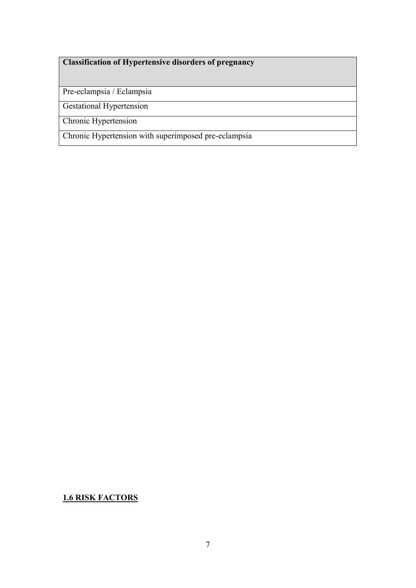## **Classification of Hypertensive disorders of pregnancy**

Pre-eclampsia / Eclampsia

Gestational Hypertension

Chronic Hypertension

Chronic Hypertension with superimposed pre-eclampsia

**1.6 RISK FACTORS**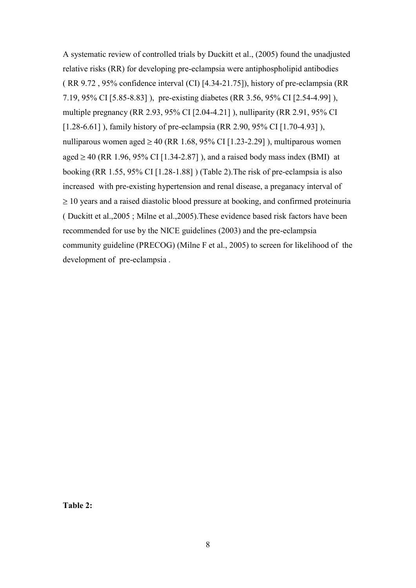A systematic review of controlled trials by Duckitt et al., (2005) found the unadjusted relative risks (RR) for developing pre-eclampsia were antiphospholipid antibodies ( RR 9.72 , 95% confidence interval (CI) [4.34-21.75]), history of pre-eclampsia (RR 7.19, 95% CI [5.85-8.83] ), pre-existing diabetes (RR 3.56, 95% CI [2.54-4.99] ), multiple pregnancy (RR 2.93, 95% CI [2.04-4.21] ), nulliparity (RR 2.91, 95% CI [1.28-6.61]), family history of pre-eclampsia (RR 2.90, 95% CI [1.70-4.93]), nulliparous women aged  $\geq 40$  (RR 1.68, 95% CI [1.23-2.29]), multiparous women aged  $\geq$  40 (RR 1.96, 95% CI [1.34-2.87]), and a raised body mass index (BMI) at booking (RR 1.55, 95% CI [1.28-1.88] ) (Table 2).The risk of pre-eclampsia is also increased with pre-existing hypertension and renal disease, a preganacy interval of  $\geq$  10 years and a raised diastolic blood pressure at booking, and confirmed proteinuria ( Duckitt et al.,2005 ; Milne et al.,2005).These evidence based risk factors have been recommended for use by the NICE guidelines (2003) and the pre-eclampsia community guideline (PRECOG) (Milne F et al., 2005) to screen for likelihood of the development of pre-eclampsia .

**Table 2:**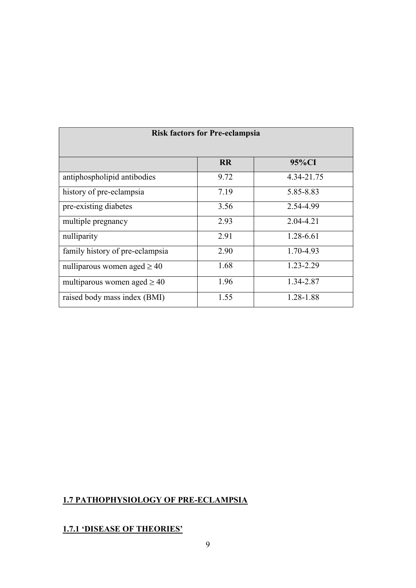| <b>RISK factors for Pre-eclampsia</b> |           |            |  |
|---------------------------------------|-----------|------------|--|
|                                       | <b>RR</b> | 95%CI      |  |
| antiphospholipid antibodies           | 9.72      | 4.34-21.75 |  |
| history of pre-eclampsia              | 7.19      | 5.85-8.83  |  |
| pre-existing diabetes                 | 3.56      | 2.54-4.99  |  |
| multiple pregnancy                    | 2.93      | 2.04-4.21  |  |
| nulliparity                           | 2.91      | 1.28-6.61  |  |
| family history of pre-eclampsia       | 2.90      | 1.70-4.93  |  |
| nulliparous women aged $\geq 40$      | 1.68      | 1.23-2.29  |  |
| multiparous women aged $\geq 40$      | 1.96      | 1.34-2.87  |  |
| raised body mass index (BMI)          | 1.55      | 1.28-1.88  |  |

## **Risk factors for Dra eclampsia**

## **1.7 PATHOPHYSIOLOGY OF PRE-ECLAMPSIA**

## **1.7.1 'DISEASE OF THEORIES'**

<u> Tanzania (h. 1878).</u>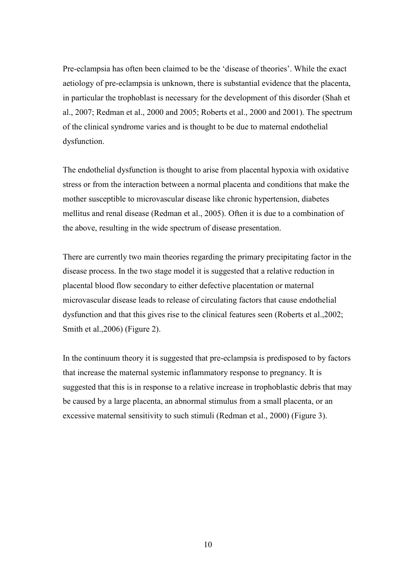Pre-eclampsia has often been claimed to be the "disease of theories". While the exact aetiology of pre-eclampsia is unknown, there is substantial evidence that the placenta, in particular the trophoblast is necessary for the development of this disorder (Shah et al., 2007; Redman et al., 2000 and 2005; Roberts et al., 2000 and 2001). The spectrum of the clinical syndrome varies and is thought to be due to maternal endothelial dysfunction.

The endothelial dysfunction is thought to arise from placental hypoxia with oxidative stress or from the interaction between a normal placenta and conditions that make the mother susceptible to microvascular disease like chronic hypertension, diabetes mellitus and renal disease (Redman et al., 2005). Often it is due to a combination of the above, resulting in the wide spectrum of disease presentation.

There are currently two main theories regarding the primary precipitating factor in the disease process. In the two stage model it is suggested that a relative reduction in placental blood flow secondary to either defective placentation or maternal microvascular disease leads to release of circulating factors that cause endothelial dysfunction and that this gives rise to the clinical features seen (Roberts et al.,2002; Smith et al.,2006) (Figure 2).

In the continuum theory it is suggested that pre-eclampsia is predisposed to by factors that increase the maternal systemic inflammatory response to pregnancy. It is suggested that this is in response to a relative increase in trophoblastic debris that may be caused by a large placenta, an abnormal stimulus from a small placenta, or an excessive maternal sensitivity to such stimuli (Redman et al., 2000) (Figure 3).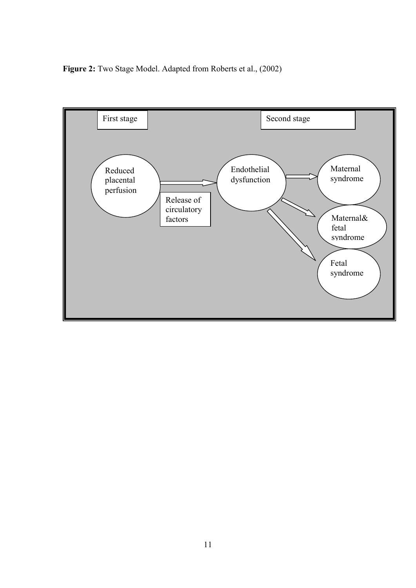**Figure 2:** Two Stage Model. Adapted from Roberts et al., (2002)

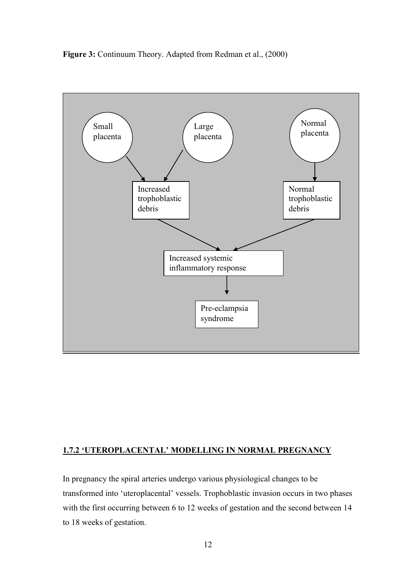**Figure 3:** Continuum Theory. Adapted from Redman et al., (2000)



#### **1.7.2 'UTEROPLACENTAL' MODELLING IN NORMAL PREGNANCY**

In pregnancy the spiral arteries undergo various physiological changes to be transformed into "uteroplacental" vessels. Trophoblastic invasion occurs in two phases with the first occurring between 6 to 12 weeks of gestation and the second between 14 to 18 weeks of gestation.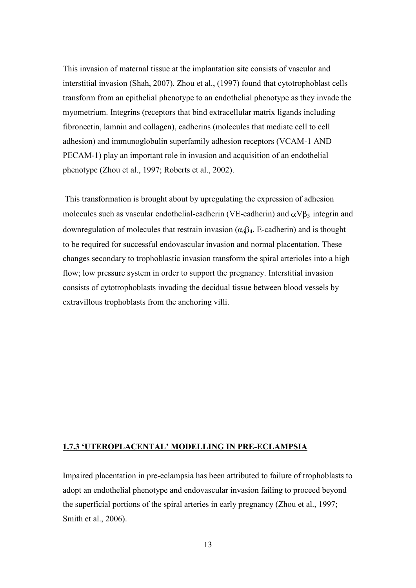This invasion of maternal tissue at the implantation site consists of vascular and interstitial invasion (Shah, 2007). Zhou et al., (1997) found that cytotrophoblast cells transform from an epithelial phenotype to an endothelial phenotype as they invade the myometrium. Integrins (receptors that bind extracellular matrix ligands including fibronectin, lamnin and collagen), cadherins (molecules that mediate cell to cell adhesion) and immunoglobulin superfamily adhesion receptors (VCAM-1 AND PECAM-1) play an important role in invasion and acquisition of an endothelial phenotype (Zhou et al., 1997; Roberts et al., 2002).

This transformation is brought about by upregulating the expression of adhesion molecules such as vascular endothelial-cadherin (VE-cadherin) and  $\alpha V \beta_3$  integrin and downregulation of molecules that restrain invasion ( $\alpha_6\beta_4$ , E-cadherin) and is thought to be required for successful endovascular invasion and normal placentation. These changes secondary to trophoblastic invasion transform the spiral arterioles into a high flow; low pressure system in order to support the pregnancy. Interstitial invasion consists of cytotrophoblasts invading the decidual tissue between blood vessels by extravillous trophoblasts from the anchoring villi.

#### **1.7.3 'UTEROPLACENTAL' MODELLING IN PRE-ECLAMPSIA**

Impaired placentation in pre-eclampsia has been attributed to failure of trophoblasts to adopt an endothelial phenotype and endovascular invasion failing to proceed beyond the superficial portions of the spiral arteries in early pregnancy (Zhou et al., 1997; Smith et al., 2006).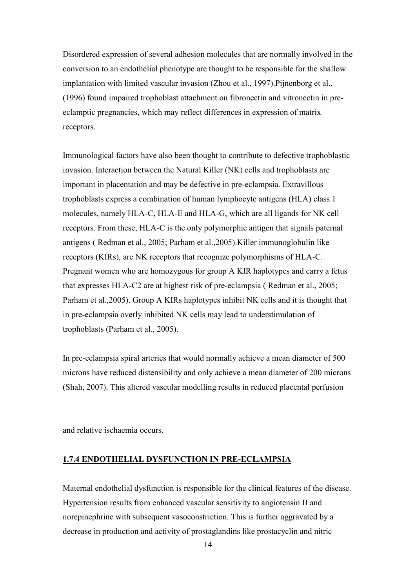Disordered expression of several adhesion molecules that are normally involved in the conversion to an endothelial phenotype are thought to be responsible for the shallow implantation with limited vascular invasion (Zhou et al., 1997).Pijnenborg et al., (1996) found impaired trophoblast attachment on fibronectin and vitronectin in preeclamptic pregnancies, which may reflect differences in expression of matrix receptors.

Immunological factors have also been thought to contribute to defective trophoblastic invasion. Interaction between the Natural Killer (NK) cells and trophoblasts are important in placentation and may be defective in pre-eclampsia. Extravillous trophoblasts express a combination of human lymphocyte antigens (HLA) class 1 molecules, namely HLA-C, HLA-E and HLA-G, which are all ligands for NK cell receptors. From these, HLA-C is the only polymorphic antigen that signals paternal antigens ( Redman et al., 2005; Parham et al.,2005).Killer immunoglobulin like receptors (KIRs), are NK receptors that recognize polymorphisms of HLA-C. Pregnant women who are homozygous for group A KIR haplotypes and carry a fetus that expresses HLA-C2 are at highest risk of pre-eclampsia ( Redman et al., 2005; Parham et al.,2005). Group A KIRs haplotypes inhibit NK cells and it is thought that in pre-eclampsia overly inhibited NK cells may lead to understimulation of trophoblasts (Parham et al., 2005).

In pre-eclampsia spiral arteries that would normally achieve a mean diameter of 500 microns have reduced distensibility and only achieve a mean diameter of 200 microns (Shah, 2007). This altered vascular modelling results in reduced placental perfusion

and relative ischaemia occurs.

#### **1.7.4 ENDOTHELIAL DYSFUNCTION IN PRE-ECLAMPSIA**

Maternal endothelial dysfunction is responsible for the clinical features of the disease. Hypertension results from enhanced vascular sensitivity to angiotensin II and norepinephrine with subsequent vasoconstriction. This is further aggravated by a decrease in production and activity of prostaglandins like prostacyclin and nitric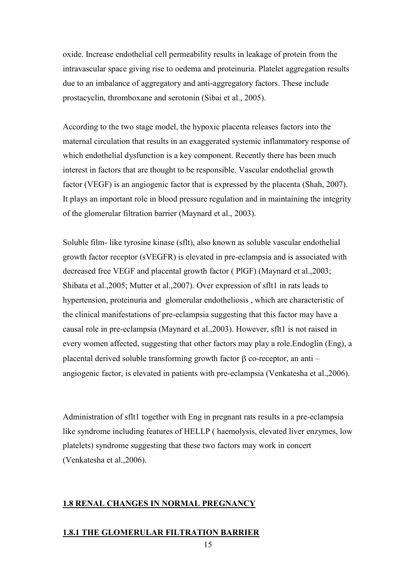oxide. Increase endothelial cell permeability results in leakage of protein from the intravascular space giving rise to oedema and proteinuria. Platelet aggregation results due to an imbalance of aggregatory and anti-aggregatory factors. These include prostacyclin, thromboxane and serotonin (Sibai et al., 2005).

According to the two stage model, the hypoxic placenta releases factors into the maternal circulation that results in an exaggerated systemic inflammatory response of which endothelial dysfunction is a key component. Recently there has been much interest in factors that are thought to be responsible. Vascular endothelial growth factor (VEGF) is an angiogenic factor that is expressed by the placenta (Shah, 2007). It plays an important role in blood pressure regulation and in maintaining the integrity of the glomerular filtration barrier (Maynard et al., 2003).

Soluble film- like tyrosine kinase (sflt), also known as soluble vascular endothelial growth factor receptor (sVEGFR) is elevated in pre-eclampsia and is associated with decreased free VEGF and placental growth factor ( PlGF) (Maynard et al.,2003; Shibata et al.,2005; Mutter et al.,2007). Over expression of sflt1 in rats leads to hypertension, proteinuria and glomerular endotheliosis , which are characteristic of the clinical manifestations of pre-eclampsia suggesting that this factor may have a causal role in pre-eclampsia (Maynard et al.,2003). However, sflt1 is not raised in every women affected, suggesting that other factors may play a role.Endoglin (Eng), a placental derived soluble transforming growth factor  $\beta$  co-receptor, an anti – angiogenic factor, is elevated in patients with pre-eclampsia (Venkatesha et al.,2006).

Administration of sflt1 together with Eng in pregnant rats results in a pre-eclampsia like syndrome including features of HELLP ( haemolysis, elevated liver enzymes, low platelets) syndrome suggesting that these two factors may work in concert (Venkatesha et al.,2006).

#### **1.8 RENAL CHANGES IN NORMAL PREGNANCY**

#### **1.8.1 THE GLOMERULAR FILTRATION BARRIER**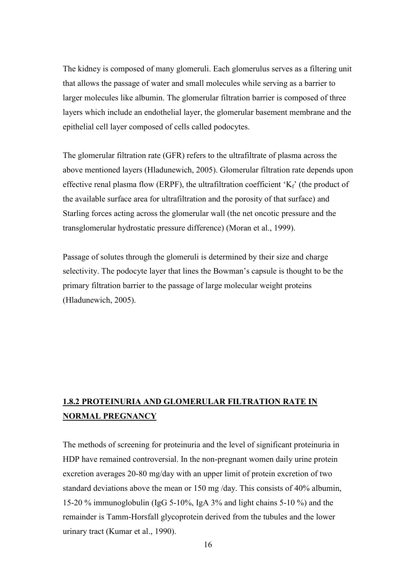The kidney is composed of many glomeruli. Each glomerulus serves as a filtering unit that allows the passage of water and small molecules while serving as a barrier to larger molecules like albumin. The glomerular filtration barrier is composed of three layers which include an endothelial layer, the glomerular basement membrane and the epithelial cell layer composed of cells called podocytes.

The glomerular filtration rate (GFR) refers to the ultrafiltrate of plasma across the above mentioned layers (Hladunewich, 2005). Glomerular filtration rate depends upon effective renal plasma flow (ERPF), the ultrafiltration coefficient ' $K_f$ ' (the product of the available surface area for ultrafiltration and the porosity of that surface) and Starling forces acting across the glomerular wall (the net oncotic pressure and the transglomerular hydrostatic pressure difference) (Moran et al., 1999).

Passage of solutes through the glomeruli is determined by their size and charge selectivity. The podocyte layer that lines the Bowman"s capsule is thought to be the primary filtration barrier to the passage of large molecular weight proteins (Hladunewich, 2005).

## **1.8.2 PROTEINURIA AND GLOMERULAR FILTRATION RATE IN NORMAL PREGNANCY**

The methods of screening for proteinuria and the level of significant proteinuria in HDP have remained controversial. In the non-pregnant women daily urine protein excretion averages 20-80 mg/day with an upper limit of protein excretion of two standard deviations above the mean or 150 mg /day. This consists of 40% albumin, 15-20 % immunoglobulin (IgG 5-10%, IgA 3% and light chains 5-10 %) and the remainder is Tamm-Horsfall glycoprotein derived from the tubules and the lower urinary tract (Kumar et al., 1990).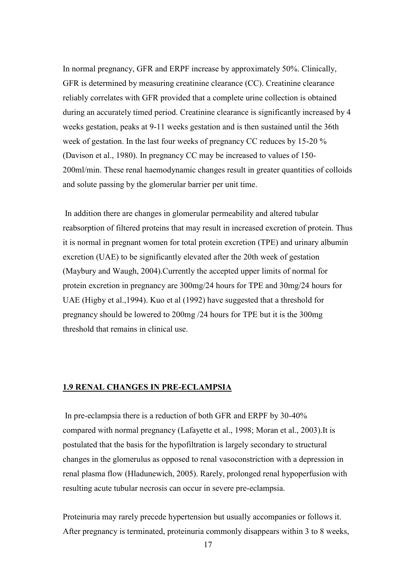In normal pregnancy, GFR and ERPF increase by approximately 50%. Clinically, GFR is determined by measuring creatinine clearance (CC). Creatinine clearance reliably correlates with GFR provided that a complete urine collection is obtained during an accurately timed period. Creatinine clearance is significantly increased by 4 weeks gestation, peaks at 9-11 weeks gestation and is then sustained until the 36th week of gestation. In the last four weeks of pregnancy CC reduces by 15-20 % (Davison et al., 1980). In pregnancy CC may be increased to values of 150- 200ml/min. These renal haemodynamic changes result in greater quantities of colloids and solute passing by the glomerular barrier per unit time.

In addition there are changes in glomerular permeability and altered tubular reabsorption of filtered proteins that may result in increased excretion of protein. Thus it is normal in pregnant women for total protein excretion (TPE) and urinary albumin excretion (UAE) to be significantly elevated after the 20th week of gestation (Maybury and Waugh, 2004).Currently the accepted upper limits of normal for protein excretion in pregnancy are 300mg/24 hours for TPE and 30mg/24 hours for UAE (Higby et al.,1994). Kuo et al (1992) have suggested that a threshold for pregnancy should be lowered to 200mg /24 hours for TPE but it is the 300mg threshold that remains in clinical use.

#### **1.9 RENAL CHANGES IN PRE-ECLAMPSIA**

In pre-eclampsia there is a reduction of both GFR and ERPF by 30-40% compared with normal pregnancy (Lafayette et al., 1998; Moran et al., 2003).It is postulated that the basis for the hypofiltration is largely secondary to structural changes in the glomerulus as opposed to renal vasoconstriction with a depression in renal plasma flow (Hladunewich, 2005). Rarely, prolonged renal hypoperfusion with resulting acute tubular necrosis can occur in severe pre-eclampsia.

Proteinuria may rarely precede hypertension but usually accompanies or follows it. After pregnancy is terminated, proteinuria commonly disappears within 3 to 8 weeks,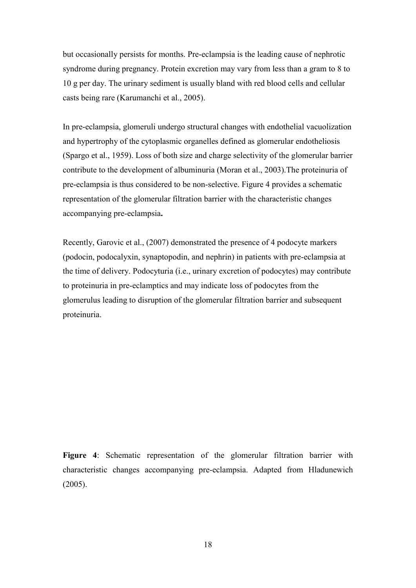but occasionally persists for months. Pre-eclampsia is the leading cause of nephrotic syndrome during pregnancy. Protein excretion may vary from less than a gram to 8 to 10 g per day. The urinary sediment is usually bland with red blood cells and cellular casts being rare (Karumanchi et al., 2005).

In pre-eclampsia, glomeruli undergo structural changes with endothelial vacuolization and hypertrophy of the cytoplasmic organelles defined as glomerular endotheliosis (Spargo et al., 1959). Loss of both size and charge selectivity of the glomerular barrier contribute to the development of albuminuria (Moran et al., 2003).The proteinuria of pre-eclampsia is thus considered to be non-selective. Figure 4 provides a schematic representation of the glomerular filtration barrier with the characteristic changes accompanying pre-eclampsia**.** 

Recently, Garovic et al., (2007) demonstrated the presence of 4 podocyte markers (podocin, podocalyxin, synaptopodin, and nephrin) in patients with pre-eclampsia at the time of delivery. Podocyturia (i.e., urinary excretion of podocytes) may contribute to proteinuria in pre-eclamptics and may indicate loss of podocytes from the glomerulus leading to disruption of the glomerular filtration barrier and subsequent proteinuria.

**Figure 4**: Schematic representation of the glomerular filtration barrier with characteristic changes accompanying pre-eclampsia. Adapted from Hladunewich (2005).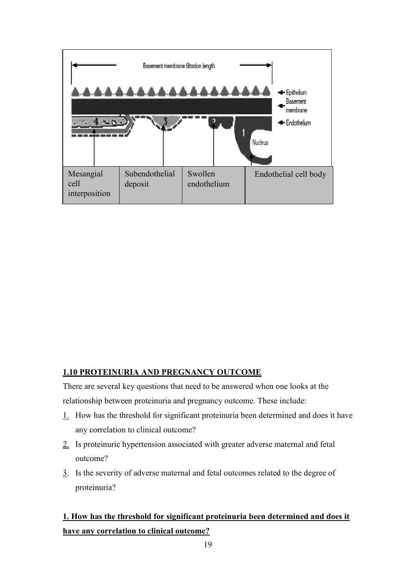

#### **1.10 PROTEINURIA AND PREGNANCY OUTCOME**

There are several key questions that need to be answered when one looks at the relationship between proteinuria and pregnancy outcome. These include:

- 1. How has the threshold for significant proteinuria been determined and does it have any correlation to clinical outcome?
- 2. Is proteinuric hypertension associated with greater adverse maternal and fetal outcome?
- 3. Is the severity of adverse maternal and fetal outcomes related to the degree of proteinuria?

## **1. How has the threshold for significant proteinuria been determined and does it have any correlation to clinical outcome?**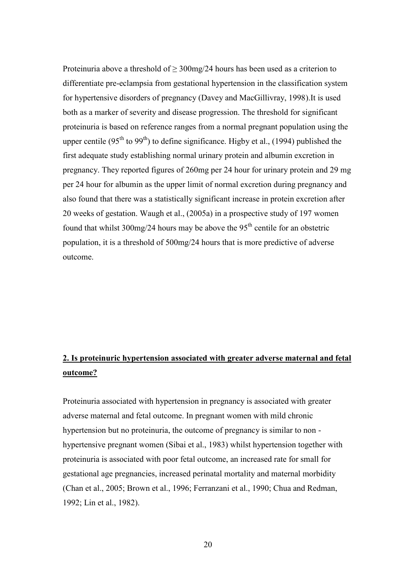Proteinuria above a threshold of  $\geq 300$ mg/24 hours has been used as a criterion to differentiate pre-eclampsia from gestational hypertension in the classification system for hypertensive disorders of pregnancy (Davey and MacGillivray, 1998).It is used both as a marker of severity and disease progression. The threshold for significant proteinuria is based on reference ranges from a normal pregnant population using the upper centile ( $95<sup>th</sup>$  to  $99<sup>th</sup>$ ) to define significance. Higby et al., (1994) published the first adequate study establishing normal urinary protein and albumin excretion in pregnancy. They reported figures of 260mg per 24 hour for urinary protein and 29 mg per 24 hour for albumin as the upper limit of normal excretion during pregnancy and also found that there was a statistically significant increase in protein excretion after 20 weeks of gestation. Waugh et al., (2005a) in a prospective study of 197 women found that whilst 300mg/24 hours may be above the  $95<sup>th</sup>$  centile for an obstetric population, it is a threshold of 500mg/24 hours that is more predictive of adverse outcome.

## **2. Is proteinuric hypertension associated with greater adverse maternal and fetal outcome?**

Proteinuria associated with hypertension in pregnancy is associated with greater adverse maternal and fetal outcome. In pregnant women with mild chronic hypertension but no proteinuria, the outcome of pregnancy is similar to non hypertensive pregnant women (Sibai et al., 1983) whilst hypertension together with proteinuria is associated with poor fetal outcome, an increased rate for small for gestational age pregnancies, increased perinatal mortality and maternal morbidity (Chan et al., 2005; Brown et al., 1996; Ferranzani et al., 1990; Chua and Redman, 1992; Lin et al., 1982).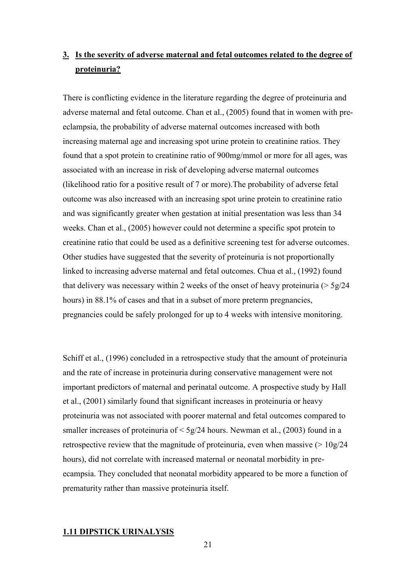# **3. Is the severity of adverse maternal and fetal outcomes related to the degree of proteinuria?**

There is conflicting evidence in the literature regarding the degree of proteinuria and adverse maternal and fetal outcome. Chan et al., (2005) found that in women with preeclampsia, the probability of adverse maternal outcomes increased with both increasing maternal age and increasing spot urine protein to creatinine ratios. They found that a spot protein to creatinine ratio of 900mg/mmol or more for all ages, was associated with an increase in risk of developing adverse maternal outcomes (likelihood ratio for a positive result of 7 or more).The probability of adverse fetal outcome was also increased with an increasing spot urine protein to creatinine ratio and was significantly greater when gestation at initial presentation was less than 34 weeks. Chan et al., (2005) however could not determine a specific spot protein to creatinine ratio that could be used as a definitive screening test for adverse outcomes. Other studies have suggested that the severity of proteinuria is not proportionally linked to increasing adverse maternal and fetal outcomes. Chua et al., (1992) found that delivery was necessary within 2 weeks of the onset of heavy proteinuria  $($  > 5g/24 hours) in 88.1% of cases and that in a subset of more preterm pregnancies, pregnancies could be safely prolonged for up to 4 weeks with intensive monitoring.

Schiff et al., (1996) concluded in a retrospective study that the amount of proteinuria and the rate of increase in proteinuria during conservative management were not important predictors of maternal and perinatal outcome. A prospective study by Hall et al., (2001) similarly found that significant increases in proteinuria or heavy proteinuria was not associated with poorer maternal and fetal outcomes compared to smaller increases of proteinuria of  $\leq 5g/24$  hours. Newman et al., (2003) found in a retrospective review that the magnitude of proteinuria, even when massive  $(> 10g/24$ hours), did not correlate with increased maternal or neonatal morbidity in preecampsia. They concluded that neonatal morbidity appeared to be more a function of prematurity rather than massive proteinuria itself.

#### **1.11 DIPSTICK URINALYSIS**

21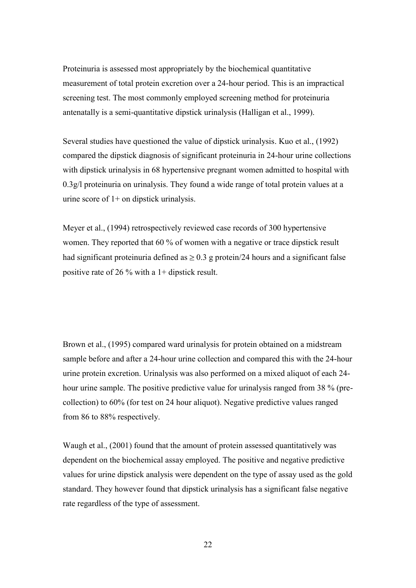Proteinuria is assessed most appropriately by the biochemical quantitative measurement of total protein excretion over a 24-hour period. This is an impractical screening test. The most commonly employed screening method for proteinuria antenatally is a semi-quantitative dipstick urinalysis (Halligan et al., 1999).

Several studies have questioned the value of dipstick urinalysis. Kuo et al., (1992) compared the dipstick diagnosis of significant proteinuria in 24-hour urine collections with dipstick urinalysis in 68 hypertensive pregnant women admitted to hospital with 0.3g/l proteinuria on urinalysis. They found a wide range of total protein values at a urine score of 1+ on dipstick urinalysis.

Meyer et al., (1994) retrospectively reviewed case records of 300 hypertensive women. They reported that 60 % of women with a negative or trace dipstick result had significant proteinuria defined as  $\geq 0.3$  g protein/24 hours and a significant false positive rate of 26 % with a 1+ dipstick result.

Brown et al., (1995) compared ward urinalysis for protein obtained on a midstream sample before and after a 24-hour urine collection and compared this with the 24-hour urine protein excretion. Urinalysis was also performed on a mixed aliquot of each 24 hour urine sample. The positive predictive value for urinalysis ranged from 38 % (precollection) to 60% (for test on 24 hour aliquot). Negative predictive values ranged from 86 to 88% respectively.

Waugh et al., (2001) found that the amount of protein assessed quantitatively was dependent on the biochemical assay employed. The positive and negative predictive values for urine dipstick analysis were dependent on the type of assay used as the gold standard. They however found that dipstick urinalysis has a significant false negative rate regardless of the type of assessment.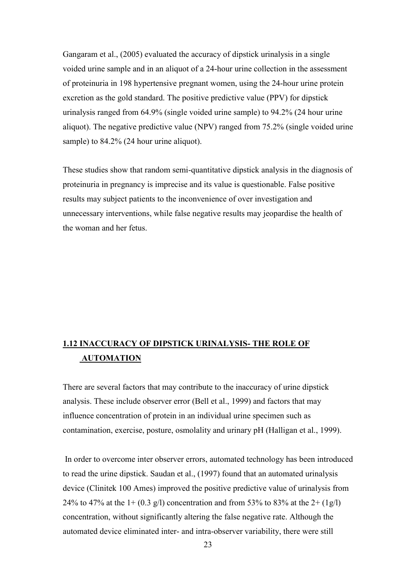Gangaram et al., (2005) evaluated the accuracy of dipstick urinalysis in a single voided urine sample and in an aliquot of a 24-hour urine collection in the assessment of proteinuria in 198 hypertensive pregnant women, using the 24-hour urine protein excretion as the gold standard. The positive predictive value (PPV) for dipstick urinalysis ranged from 64.9% (single voided urine sample) to 94.2% (24 hour urine aliquot). The negative predictive value (NPV) ranged from 75.2% (single voided urine sample) to 84.2% (24 hour urine aliquot).

These studies show that random semi-quantitative dipstick analysis in the diagnosis of proteinuria in pregnancy is imprecise and its value is questionable. False positive results may subject patients to the inconvenience of over investigation and unnecessary interventions, while false negative results may jeopardise the health of the woman and her fetus.

# **1.12 INACCURACY OF DIPSTICK URINALYSIS- THE ROLE OF AUTOMATION**

There are several factors that may contribute to the inaccuracy of urine dipstick analysis. These include observer error (Bell et al., 1999) and factors that may influence concentration of protein in an individual urine specimen such as contamination, exercise, posture, osmolality and urinary pH (Halligan et al., 1999).

In order to overcome inter observer errors, automated technology has been introduced to read the urine dipstick. Saudan et al., (1997) found that an automated urinalysis device (Clinitek 100 Ames) improved the positive predictive value of urinalysis from 24% to 47% at the  $1 + (0.3 \text{ g/l})$  concentration and from 53% to 83% at the  $2 + (1 \text{ g/l})$ concentration, without significantly altering the false negative rate. Although the automated device eliminated inter- and intra-observer variability, there were still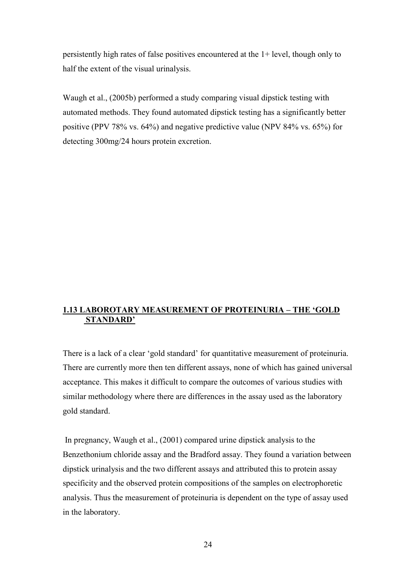persistently high rates of false positives encountered at the 1+ level, though only to half the extent of the visual urinalysis.

Waugh et al., (2005b) performed a study comparing visual dipstick testing with automated methods. They found automated dipstick testing has a significantly better positive (PPV 78% vs. 64%) and negative predictive value (NPV 84% vs. 65%) for detecting 300mg/24 hours protein excretion.

## **1.13 LABOROTARY MEASUREMENT OF PROTEINURIA – THE 'GOLD STANDARD'**

There is a lack of a clear "gold standard" for quantitative measurement of proteinuria. There are currently more then ten different assays, none of which has gained universal acceptance. This makes it difficult to compare the outcomes of various studies with similar methodology where there are differences in the assay used as the laboratory gold standard.

In pregnancy, Waugh et al., (2001) compared urine dipstick analysis to the Benzethonium chloride assay and the Bradford assay. They found a variation between dipstick urinalysis and the two different assays and attributed this to protein assay specificity and the observed protein compositions of the samples on electrophoretic analysis. Thus the measurement of proteinuria is dependent on the type of assay used in the laboratory.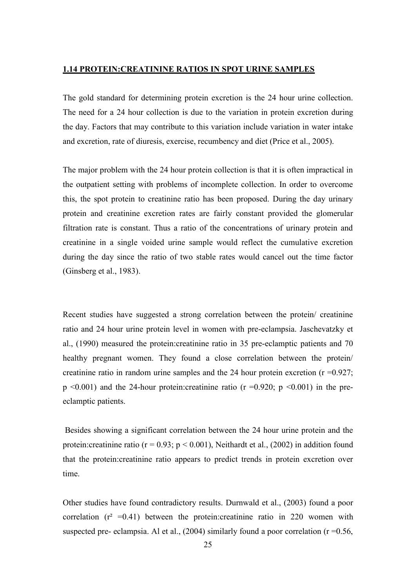### **1.14 PROTEIN:CREATININE RATIOS IN SPOT URINE SAMPLES**

The gold standard for determining protein excretion is the 24 hour urine collection. The need for a 24 hour collection is due to the variation in protein excretion during the day. Factors that may contribute to this variation include variation in water intake and excretion, rate of diuresis, exercise, recumbency and diet (Price et al., 2005).

The major problem with the 24 hour protein collection is that it is often impractical in the outpatient setting with problems of incomplete collection. In order to overcome this, the spot protein to creatinine ratio has been proposed. During the day urinary protein and creatinine excretion rates are fairly constant provided the glomerular filtration rate is constant. Thus a ratio of the concentrations of urinary protein and creatinine in a single voided urine sample would reflect the cumulative excretion during the day since the ratio of two stable rates would cancel out the time factor (Ginsberg et al., 1983).

Recent studies have suggested a strong correlation between the protein/ creatinine ratio and 24 hour urine protein level in women with pre-eclampsia. Jaschevatzky et al., (1990) measured the protein:creatinine ratio in 35 pre-eclamptic patients and 70 healthy pregnant women. They found a close correlation between the protein/ creatinine ratio in random urine samples and the 24 hour protein excretion  $(r = 0.927)$ ;  $p \le 0.001$ ) and the 24-hour protein: creatinine ratio (r = 0.920; p  $\le 0.001$ ) in the preeclamptic patients.

Besides showing a significant correlation between the 24 hour urine protein and the protein: creatinine ratio ( $r = 0.93$ ;  $p < 0.001$ ), Neithardt et al., (2002) in addition found that the protein:creatinine ratio appears to predict trends in protein excretion over time.

Other studies have found contradictory results. Durnwald et al., (2003) found a poor correlation  $(r^2 = 0.41)$  between the protein:creatinine ratio in 220 women with suspected pre- eclampsia. Al et al.,  $(2004)$  similarly found a poor correlation (r =0.56,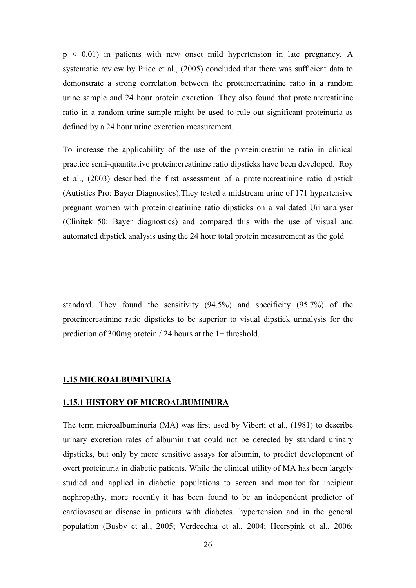p < 0.01) in patients with new onset mild hypertension in late pregnancy. A systematic review by Price et al., (2005) concluded that there was sufficient data to demonstrate a strong correlation between the protein:creatinine ratio in a random urine sample and 24 hour protein excretion. They also found that protein:creatinine ratio in a random urine sample might be used to rule out significant proteinuria as defined by a 24 hour urine excretion measurement.

To increase the applicability of the use of the protein:creatinine ratio in clinical practice semi-quantitative protein:creatinine ratio dipsticks have been developed. Roy et al., (2003) described the first assessment of a protein:creatinine ratio dipstick (Autistics Pro: Bayer Diagnostics).They tested a midstream urine of 171 hypertensive pregnant women with protein:creatinine ratio dipsticks on a validated Urinanalyser (Clinitek 50: Bayer diagnostics) and compared this with the use of visual and automated dipstick analysis using the 24 hour total protein measurement as the gold

standard. They found the sensitivity (94.5%) and specificity (95.7%) of the protein:creatinine ratio dipsticks to be superior to visual dipstick urinalysis for the prediction of 300mg protein / 24 hours at the 1+ threshold.

## **1.15 MICROALBUMINURIA**

#### **1.15.1 HISTORY OF MICROALBUMINURA**

The term microalbuminuria (MA) was first used by Viberti et al., (1981) to describe urinary excretion rates of albumin that could not be detected by standard urinary dipsticks, but only by more sensitive assays for albumin, to predict development of overt proteinuria in diabetic patients. While the clinical utility of MA has been largely studied and applied in diabetic populations to screen and monitor for incipient nephropathy, more recently it has been found to be an independent predictor of cardiovascular disease in patients with diabetes, hypertension and in the general population (Busby et al., 2005; Verdecchia et al., 2004; Heerspink et al., 2006;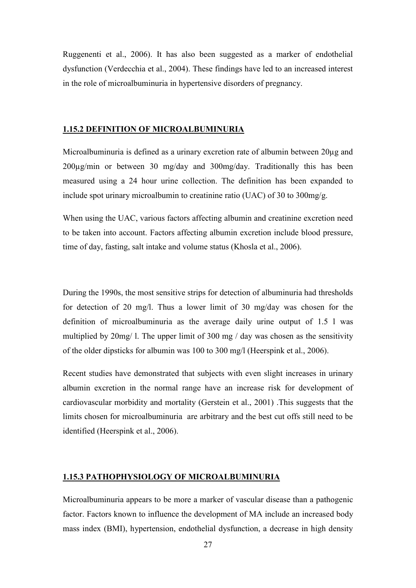Ruggenenti et al., 2006). It has also been suggested as a marker of endothelial dysfunction (Verdecchia et al., 2004). These findings have led to an increased interest in the role of microalbuminuria in hypertensive disorders of pregnancy.

#### **1.15.2 DEFINITION OF MICROALBUMINURIA**

Microalbuminuria is defined as a urinary excretion rate of albumin between  $20\mu$ g and  $200\mu$ g/min or between 30 mg/day and 300mg/day. Traditionally this has been measured using a 24 hour urine collection. The definition has been expanded to include spot urinary microalbumin to creatinine ratio (UAC) of 30 to 300mg/g.

When using the UAC, various factors affecting albumin and creatinine excretion need to be taken into account. Factors affecting albumin excretion include blood pressure, time of day, fasting, salt intake and volume status (Khosla et al., 2006).

During the 1990s, the most sensitive strips for detection of albuminuria had thresholds for detection of 20 mg/l. Thus a lower limit of 30 mg/day was chosen for the definition of microalbuminuria as the average daily urine output of 1.5 l was multiplied by 20mg/ l. The upper limit of 300 mg / day was chosen as the sensitivity of the older dipsticks for albumin was 100 to 300 mg/l (Heerspink et al., 2006).

Recent studies have demonstrated that subjects with even slight increases in urinary albumin excretion in the normal range have an increase risk for development of cardiovascular morbidity and mortality (Gerstein et al., 2001) .This suggests that the limits chosen for microalbuminuria are arbitrary and the best cut offs still need to be identified (Heerspink et al., 2006).

## **1.15.3 PATHOPHYSIOLOGY OF MICROALBUMINURIA**

Microalbuminuria appears to be more a marker of vascular disease than a pathogenic factor. Factors known to influence the development of MA include an increased body mass index (BMI), hypertension, endothelial dysfunction, a decrease in high density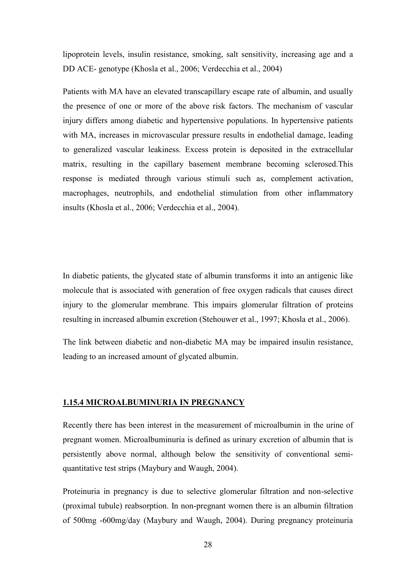lipoprotein levels, insulin resistance, smoking, salt sensitivity, increasing age and a DD ACE- genotype (Khosla et al., 2006; Verdecchia et al., 2004)

Patients with MA have an elevated transcapillary escape rate of albumin, and usually the presence of one or more of the above risk factors. The mechanism of vascular injury differs among diabetic and hypertensive populations. In hypertensive patients with MA, increases in microvascular pressure results in endothelial damage, leading to generalized vascular leakiness. Excess protein is deposited in the extracellular matrix, resulting in the capillary basement membrane becoming sclerosed.This response is mediated through various stimuli such as, complement activation, macrophages, neutrophils, and endothelial stimulation from other inflammatory insults (Khosla et al., 2006; Verdecchia et al., 2004).

In diabetic patients, the glycated state of albumin transforms it into an antigenic like molecule that is associated with generation of free oxygen radicals that causes direct injury to the glomerular membrane. This impairs glomerular filtration of proteins resulting in increased albumin excretion (Stehouwer et al., 1997; Khosla et al., 2006).

The link between diabetic and non-diabetic MA may be impaired insulin resistance, leading to an increased amount of glycated albumin.

#### **1.15.4 MICROALBUMINURIA IN PREGNANCY**

Recently there has been interest in the measurement of microalbumin in the urine of pregnant women. Microalbuminuria is defined as urinary excretion of albumin that is persistently above normal, although below the sensitivity of conventional semiquantitative test strips (Maybury and Waugh, 2004).

Proteinuria in pregnancy is due to selective glomerular filtration and non-selective (proximal tubule) reabsorption. In non-pregnant women there is an albumin filtration of 500mg -600mg/day (Maybury and Waugh, 2004). During pregnancy proteinuria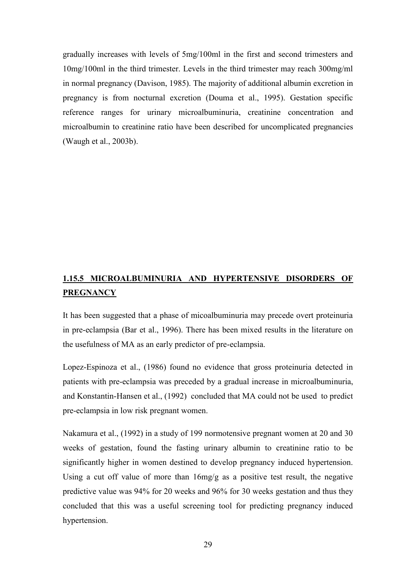gradually increases with levels of 5mg/100ml in the first and second trimesters and 10mg/100ml in the third trimester. Levels in the third trimester may reach 300mg/ml in normal pregnancy (Davison, 1985). The majority of additional albumin excretion in pregnancy is from nocturnal excretion (Douma et al., 1995). Gestation specific reference ranges for urinary microalbuminuria, creatinine concentration and microalbumin to creatinine ratio have been described for uncomplicated pregnancies (Waugh et al., 2003b).

# **1.15.5 MICROALBUMINURIA AND HYPERTENSIVE DISORDERS OF PREGNANCY**

It has been suggested that a phase of micoalbuminuria may precede overt proteinuria in pre-eclampsia (Bar et al., 1996). There has been mixed results in the literature on the usefulness of MA as an early predictor of pre-eclampsia.

Lopez-Espinoza et al., (1986) found no evidence that gross proteinuria detected in patients with pre-eclampsia was preceded by a gradual increase in microalbuminuria, and Konstantin-Hansen et al., (1992) concluded that MA could not be used to predict pre-eclampsia in low risk pregnant women.

Nakamura et al., (1992) in a study of 199 normotensive pregnant women at 20 and 30 weeks of gestation, found the fasting urinary albumin to creatinine ratio to be significantly higher in women destined to develop pregnancy induced hypertension. Using a cut off value of more than 16mg/g as a positive test result, the negative predictive value was 94% for 20 weeks and 96% for 30 weeks gestation and thus they concluded that this was a useful screening tool for predicting pregnancy induced hypertension.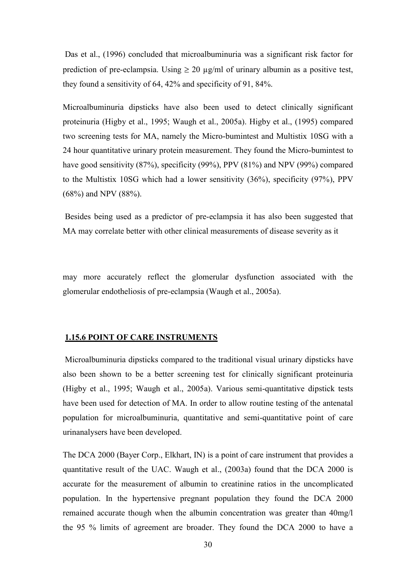Das et al., (1996) concluded that microalbuminuria was a significant risk factor for prediction of pre-eclampsia. Using  $\geq 20 \mu g/ml$  of urinary albumin as a positive test, they found a sensitivity of 64, 42% and specificity of 91, 84%.

Microalbuminuria dipsticks have also been used to detect clinically significant proteinuria (Higby et al., 1995; Waugh et al., 2005a). Higby et al., (1995) compared two screening tests for MA, namely the Micro-bumintest and Multistix 10SG with a 24 hour quantitative urinary protein measurement. They found the Micro-bumintest to have good sensitivity (87%), specificity (99%), PPV (81%) and NPV (99%) compared to the Multistix 10SG which had a lower sensitivity (36%), specificity (97%), PPV (68%) and NPV (88%).

Besides being used as a predictor of pre-eclampsia it has also been suggested that MA may correlate better with other clinical measurements of disease severity as it

may more accurately reflect the glomerular dysfunction associated with the glomerular endotheliosis of pre-eclampsia (Waugh et al., 2005a).

#### **1.15.6 POINT OF CARE INSTRUMENTS**

Microalbuminuria dipsticks compared to the traditional visual urinary dipsticks have also been shown to be a better screening test for clinically significant proteinuria (Higby et al., 1995; Waugh et al., 2005a). Various semi-quantitative dipstick tests have been used for detection of MA. In order to allow routine testing of the antenatal population for microalbuminuria, quantitative and semi-quantitative point of care urinanalysers have been developed.

The DCA 2000 (Bayer Corp., Elkhart, IN) is a point of care instrument that provides a quantitative result of the UAC. Waugh et al., (2003a) found that the DCA 2000 is accurate for the measurement of albumin to creatinine ratios in the uncomplicated population. In the hypertensive pregnant population they found the DCA 2000 remained accurate though when the albumin concentration was greater than 40mg/l the 95 % limits of agreement are broader. They found the DCA 2000 to have a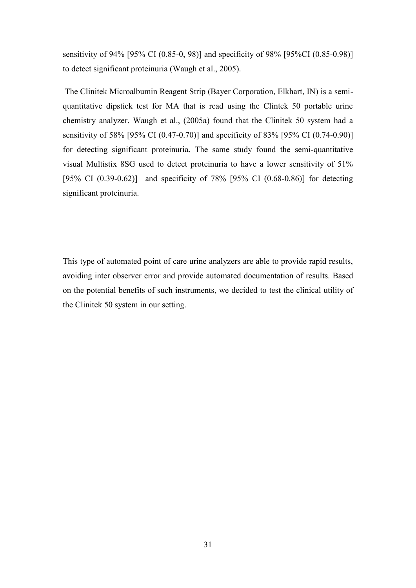sensitivity of 94% [95% CI (0.85-0, 98)] and specificity of 98% [95%CI (0.85-0.98)] to detect significant proteinuria (Waugh et al., 2005).

The Clinitek Microalbumin Reagent Strip (Bayer Corporation, Elkhart, IN) is a semiquantitative dipstick test for MA that is read using the Clintek 50 portable urine chemistry analyzer. Waugh et al., (2005a) found that the Clinitek 50 system had a sensitivity of 58% [95% CI (0.47-0.70)] and specificity of 83% [95% CI (0.74-0.90)] for detecting significant proteinuria. The same study found the semi-quantitative visual Multistix 8SG used to detect proteinuria to have a lower sensitivity of 51% [95% CI (0.39-0.62)] and specificity of 78% [95% CI (0.68-0.86)] for detecting significant proteinuria.

This type of automated point of care urine analyzers are able to provide rapid results, avoiding inter observer error and provide automated documentation of results. Based on the potential benefits of such instruments, we decided to test the clinical utility of the Clinitek 50 system in our setting.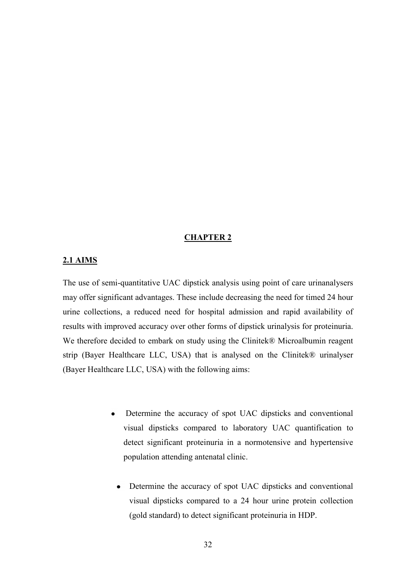## **CHAPTER 2**

#### **2.1 AIMS**

The use of semi-quantitative UAC dipstick analysis using point of care urinanalysers may offer significant advantages. These include decreasing the need for timed 24 hour urine collections, a reduced need for hospital admission and rapid availability of results with improved accuracy over other forms of dipstick urinalysis for proteinuria. We therefore decided to embark on study using the Clinitek® Microalbumin reagent strip (Bayer Healthcare LLC, USA) that is analysed on the Clinitek® urinalyser (Bayer Healthcare LLC, USA) with the following aims:

- Determine the accuracy of spot UAC dipsticks and conventional visual dipsticks compared to laboratory UAC quantification to detect significant proteinuria in a normotensive and hypertensive population attending antenatal clinic.
	- Determine the accuracy of spot UAC dipsticks and conventional visual dipsticks compared to a 24 hour urine protein collection (gold standard) to detect significant proteinuria in HDP.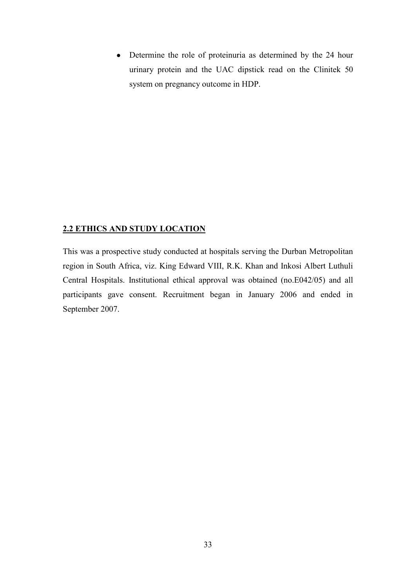• Determine the role of proteinuria as determined by the 24 hour urinary protein and the UAC dipstick read on the Clinitek 50 system on pregnancy outcome in HDP.

## **2.2 ETHICS AND STUDY LOCATION**

This was a prospective study conducted at hospitals serving the Durban Metropolitan region in South Africa, viz. King Edward VIII, R.K. Khan and Inkosi Albert Luthuli Central Hospitals. Institutional ethical approval was obtained (no.E042/05) and all participants gave consent. Recruitment began in January 2006 and ended in September 2007.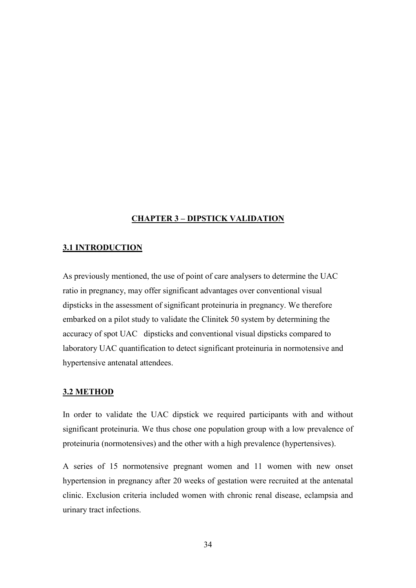## **CHAPTER 3 – DIPSTICK VALIDATION**

## **3.1 INTRODUCTION**

As previously mentioned, the use of point of care analysers to determine the UAC ratio in pregnancy, may offer significant advantages over conventional visual dipsticks in the assessment of significant proteinuria in pregnancy. We therefore embarked on a pilot study to validate the Clinitek 50 system by determining the accuracy of spot UAC dipsticks and conventional visual dipsticks compared to laboratory UAC quantification to detect significant proteinuria in normotensive and hypertensive antenatal attendees.

#### **3.2 METHOD**

In order to validate the UAC dipstick we required participants with and without significant proteinuria. We thus chose one population group with a low prevalence of proteinuria (normotensives) and the other with a high prevalence (hypertensives).

A series of 15 normotensive pregnant women and 11 women with new onset hypertension in pregnancy after 20 weeks of gestation were recruited at the antenatal clinic. Exclusion criteria included women with chronic renal disease, eclampsia and urinary tract infections.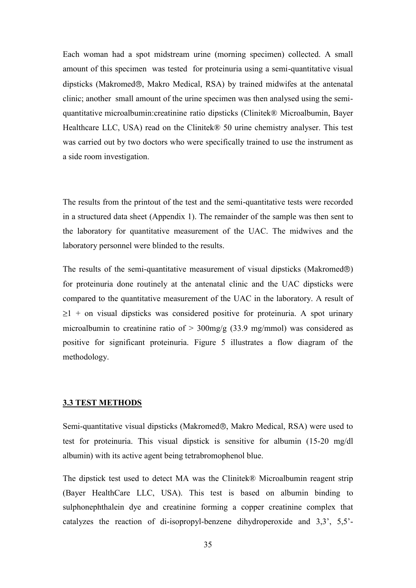Each woman had a spot midstream urine (morning specimen) collected. A small amount of this specimen was tested for proteinuria using a semi-quantitative visual dipsticks (Makromed®, Makro Medical, RSA) by trained midwifes at the antenatal clinic; another small amount of the urine specimen was then analysed using the semiquantitative microalbumin:creatinine ratio dipsticks (Clinitek® Microalbumin, Bayer Healthcare LLC, USA) read on the Clinitek® 50 urine chemistry analyser. This test was carried out by two doctors who were specifically trained to use the instrument as a side room investigation.

The results from the printout of the test and the semi-quantitative tests were recorded in a structured data sheet (Appendix 1). The remainder of the sample was then sent to the laboratory for quantitative measurement of the UAC. The midwives and the laboratory personnel were blinded to the results.

The results of the semi-quantitative measurement of visual dipsticks (Makromed $\circledR$ ) for proteinuria done routinely at the antenatal clinic and the UAC dipsticks were compared to the quantitative measurement of the UAC in the laboratory. A result of  $\geq$ 1 + on visual dipsticks was considered positive for proteinuria. A spot urinary microalbumin to creatinine ratio of  $> 300$ mg/g (33.9 mg/mmol) was considered as positive for significant proteinuria. Figure 5 illustrates a flow diagram of the methodology.

### **3.3 TEST METHODS**

Semi-quantitative visual dipsticks (Makromed<sup>®</sup>, Makro Medical, RSA) were used to test for proteinuria. This visual dipstick is sensitive for albumin (15-20 mg/dl albumin) with its active agent being tetrabromophenol blue.

The dipstick test used to detect MA was the Clinitek® Microalbumin reagent strip (Bayer HealthCare LLC, USA). This test is based on albumin binding to sulphonephthalein dye and creatinine forming a copper creatinine complex that catalyzes the reaction of di-isopropyl-benzene dihydroperoxide and 3,3", 5,5"-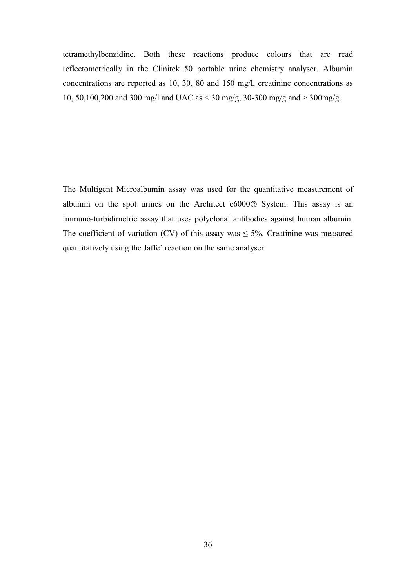tetramethylbenzidine. Both these reactions produce colours that are read reflectometrically in the Clinitek 50 portable urine chemistry analyser. Albumin concentrations are reported as 10, 30, 80 and 150 mg/l, creatinine concentrations as 10, 50,100,200 and 300 mg/l and UAC as < 30 mg/g, 30-300 mg/g and > 300mg/g.

The Multigent Microalbumin assay was used for the quantitative measurement of albumin on the spot urines on the Architect  $c6000$  System. This assay is an immuno-turbidimetric assay that uses polyclonal antibodies against human albumin. The coefficient of variation (CV) of this assay was  $\leq$  5%. Creatinine was measured quantitatively using the Jaffe´ reaction on the same analyser.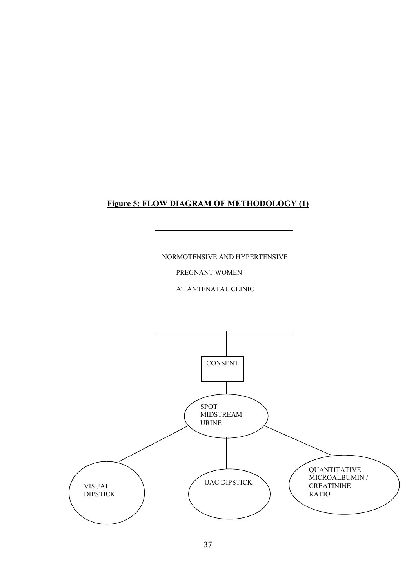## **Figure 5: FLOW DIAGRAM OF METHODOLOGY (1)**

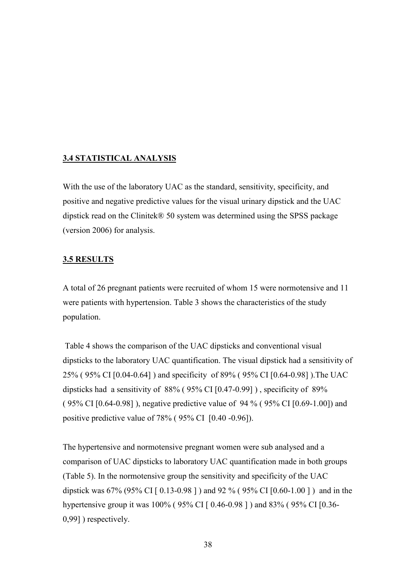## **3.4 STATISTICAL ANALYSIS**

With the use of the laboratory UAC as the standard, sensitivity, specificity, and positive and negative predictive values for the visual urinary dipstick and the UAC dipstick read on the Clinitek® 50 system was determined using the SPSS package (version 2006) for analysis.

## **3.5 RESULTS**

A total of 26 pregnant patients were recruited of whom 15 were normotensive and 11 were patients with hypertension. Table 3 shows the characteristics of the study population.

Table 4 shows the comparison of the UAC dipsticks and conventional visual dipsticks to the laboratory UAC quantification. The visual dipstick had a sensitivity of 25% ( 95% CI [0.04-0.64] ) and specificity of 89% ( 95% CI [0.64-0.98] ).The UAC dipsticks had a sensitivity of 88% ( 95% CI [0.47-0.99] ) , specificity of 89% ( 95% CI [0.64-0.98] ), negative predictive value of 94 % ( 95% CI [0.69-1.00]) and positive predictive value of 78% ( 95% CI [0.40 -0.96]).

The hypertensive and normotensive pregnant women were sub analysed and a comparison of UAC dipsticks to laboratory UAC quantification made in both groups (Table 5). In the normotensive group the sensitivity and specificity of the UAC dipstick was 67% (95% CI [ 0.13-0.98 ] ) and 92 % ( 95% CI [0.60-1.00 ] ) and in the hypertensive group it was 100% (95% CI [ 0.46-0.98 ] ) and 83% (95% CI [0.36-0,99] ) respectively.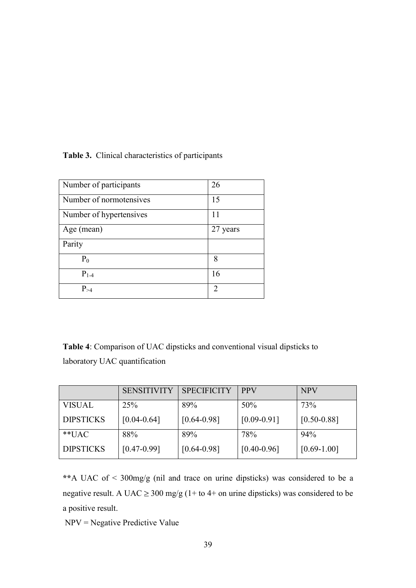## **Table 3.** Clinical characteristics of participants

| Number of participants  | 26                            |
|-------------------------|-------------------------------|
| Number of normotensives | 15                            |
|                         |                               |
| Number of hypertensives | 11                            |
| Age (mean)              | 27 years                      |
| Parity                  |                               |
| $P_0$                   | 8                             |
| $P_{1-4}$               | 16                            |
| $P_{\geq 4}$            | $\mathfrak{D}_{\mathfrak{p}}$ |

**Table 4**: Comparison of UAC dipsticks and conventional visual dipsticks to laboratory UAC quantification

|                  | <b>SENSITIVITY</b> | <b>SPECIFICITY</b> | <b>PPV</b>      | <b>NPV</b>      |
|------------------|--------------------|--------------------|-----------------|-----------------|
| <b>VISUAL</b>    | 25%                | 89%                | 50%             | 73%             |
| <b>DIPSTICKS</b> | $[0.04 - 0.64]$    | $[0.64 - 0.98]$    | $[0.09 - 0.91]$ | $[0.50 - 0.88]$ |
| $*$ $IAC$        | 88%                | 89%                | 78%             | 94%             |
| <b>DIPSTICKS</b> | $[0.47 - 0.99]$    | $[0.64 - 0.98]$    | $[0.40 - 0.96]$ | $[0.69 - 1.00]$ |

**\*\***A UAC of < 300mg/g (nil and trace on urine dipsticks) was considered to be a negative result. A UAC  $\geq$  300 mg/g (1+ to 4+ on urine dipsticks) was considered to be a positive result.

NPV = Negative Predictive Value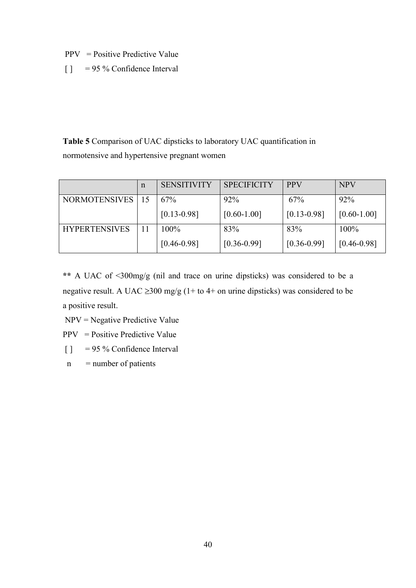$PPV = Positive Predictive Value$ 

[ ] = 95 % Confidence Interval

**Table 5** Comparison of UAC dipsticks to laboratory UAC quantification in normotensive and hypertensive pregnant women

|                      | n | <b>SENSITIVITY</b> | <b>SPECIFICITY</b> | <b>PPV</b>      | <b>NPV</b>      |
|----------------------|---|--------------------|--------------------|-----------------|-----------------|
| NORMOTENSIVES   15   |   | 67%                | 92%                | 67%             | 92%             |
|                      |   | $[0.13 - 0.98]$    | $[0.60 - 1.00]$    | $[0.13 - 0.98]$ | $[0.60 - 1.00]$ |
| <b>HYPERTENSIVES</b> |   | 100%               | 83%                | 83%             | $100\%$         |
|                      |   | $[0.46 - 0.98]$    | $[0.36 - 0.99]$    | $[0.36 - 0.99]$ | $[0.46 - 0.98]$ |

**\*\*** A UAC of <300mg/g (nil and trace on urine dipsticks) was considered to be a negative result. A UAC  $\geq$ 300 mg/g (1+ to 4+ on urine dipsticks) was considered to be a positive result.

NPV = Negative Predictive Value

 $PPV = Positive Predictive Value$ 

 $\begin{bmatrix} \end{bmatrix}$  = 95 % Confidence Interval

 $n$  = number of patients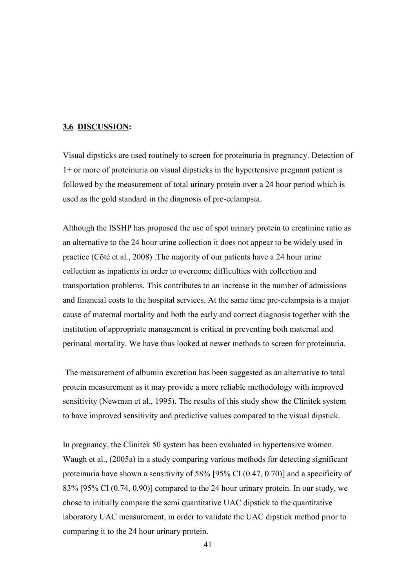## **3.6 DISCUSSION:**

Visual dipsticks are used routinely to screen for proteinuria in pregnancy. Detection of 1+ or more of proteinuria on visual dipsticks in the hypertensive pregnant patient is followed by the measurement of total urinary protein over a 24 hour period which is used as the gold standard in the diagnosis of pre-eclampsia.

Although the ISSHP has proposed the use of spot urinary protein to creatinine ratio as an alternative to the 24 hour urine collection it does not appear to be widely used in practice (Cōté et al., 2008) .The majority of our patients have a 24 hour urine collection as inpatients in order to overcome difficulties with collection and transportation problems. This contributes to an increase in the number of admissions and financial costs to the hospital services. At the same time pre-eclampsia is a major cause of maternal mortality and both the early and correct diagnosis together with the institution of appropriate management is critical in preventing both maternal and perinatal mortality. We have thus looked at newer methods to screen for proteinuria.

The measurement of albumin excretion has been suggested as an alternative to total protein measurement as it may provide a more reliable methodology with improved sensitivity (Newman et al., 1995). The results of this study show the Clinitek system to have improved sensitivity and predictive values compared to the visual dipstick.

In pregnancy, the Clinitek 50 system has been evaluated in hypertensive women. Waugh et al., (2005a) in a study comparing various methods for detecting significant proteinuria have shown a sensitivity of 58% [95% CI (0.47, 0.70)] and a specificity of 83% [95% CI (0.74, 0.90)] compared to the 24 hour urinary protein. In our study, we chose to initially compare the semi quantitative UAC dipstick to the quantitative laboratory UAC measurement, in order to validate the UAC dipstick method prior to comparing it to the 24 hour urinary protein.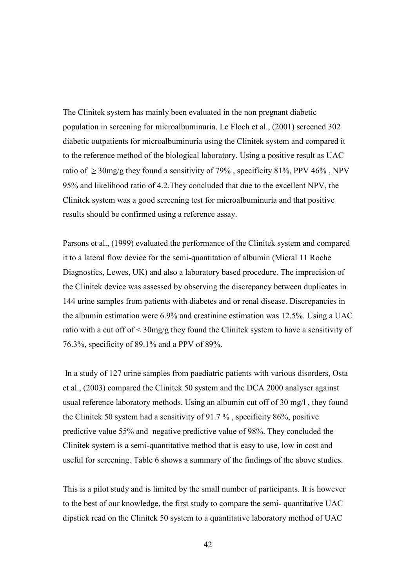The Clinitek system has mainly been evaluated in the non pregnant diabetic population in screening for microalbuminuria. Le Floch et al., (2001) screened 302 diabetic outpatients for microalbuminuria using the Clinitek system and compared it to the reference method of the biological laboratory. Using a positive result as UAC ratio of  $\geq 30$ mg/g they found a sensitivity of 79%, specificity 81%, PPV 46%, NPV 95% and likelihood ratio of 4.2.They concluded that due to the excellent NPV, the Clinitek system was a good screening test for microalbuminuria and that positive results should be confirmed using a reference assay.

Parsons et al., (1999) evaluated the performance of the Clinitek system and compared it to a lateral flow device for the semi-quantitation of albumin (Micral 11 Roche Diagnostics, Lewes, UK) and also a laboratory based procedure. The imprecision of the Clinitek device was assessed by observing the discrepancy between duplicates in 144 urine samples from patients with diabetes and or renal disease. Discrepancies in the albumin estimation were 6.9% and creatinine estimation was 12.5%. Using a UAC ratio with a cut off of < 30mg/g they found the Clinitek system to have a sensitivity of 76.3%, specificity of 89.1% and a PPV of 89%.

In a study of 127 urine samples from paediatric patients with various disorders, Osta et al., (2003) compared the Clinitek 50 system and the DCA 2000 analyser against usual reference laboratory methods. Using an albumin cut off of 30 mg/l , they found the Clinitek 50 system had a sensitivity of 91.7 % , specificity 86%, positive predictive value 55% and negative predictive value of 98%. They concluded the Clinitek system is a semi-quantitative method that is easy to use, low in cost and useful for screening. Table 6 shows a summary of the findings of the above studies.

This is a pilot study and is limited by the small number of participants. It is however to the best of our knowledge, the first study to compare the semi- quantitative UAC dipstick read on the Clinitek 50 system to a quantitative laboratory method of UAC

42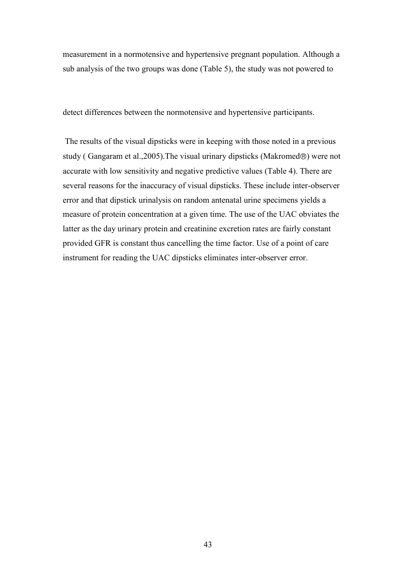measurement in a normotensive and hypertensive pregnant population. Although a sub analysis of the two groups was done (Table 5), the study was not powered to

detect differences between the normotensive and hypertensive participants.

The results of the visual dipsticks were in keeping with those noted in a previous study (Gangaram et al., 2005). The visual urinary dipsticks (Makromed<sup>®</sup>) were not accurate with low sensitivity and negative predictive values (Table 4). There are several reasons for the inaccuracy of visual dipsticks. These include inter-observer error and that dipstick urinalysis on random antenatal urine specimens yields a measure of protein concentration at a given time. The use of the UAC obviates the latter as the day urinary protein and creatinine excretion rates are fairly constant provided GFR is constant thus cancelling the time factor. Use of a point of care instrument for reading the UAC dipsticks eliminates inter-observer error.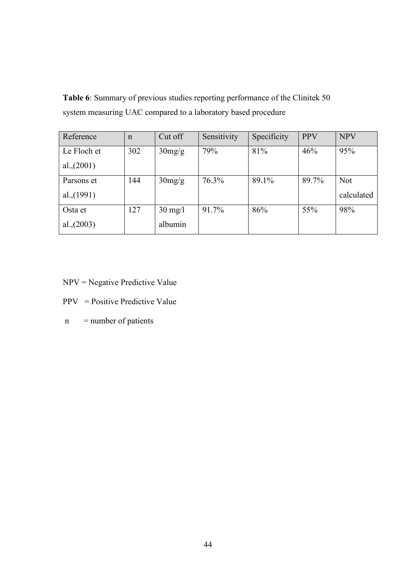**Table 6**: Summary of previous studies reporting performance of the Clinitek 50 system measuring UAC compared to a laboratory based procedure

| Reference     | $\mathsf{n}$ | Cut off           | Sensitivity | Specificity | <b>PPV</b> | <b>NPV</b> |
|---------------|--------------|-------------------|-------------|-------------|------------|------------|
| Le Floch et   | 302          | 30mg/g            | 79%         | 81%         | 46%        | 95%        |
| al., $(2001)$ |              |                   |             |             |            |            |
| Parsons et    | 144          | 30mg/g            | 76.3%       | 89.1%       | 89.7%      | <b>Not</b> |
| al., $(1991)$ |              |                   |             |             |            | calculated |
| Osta et       | 127          | $30 \text{ mg/l}$ | 91.7%       | 86%         | 55%        | 98%        |
| al., (2003)   |              | albumin           |             |             |            |            |

- NPV = Negative Predictive Value
- PPV = Positive Predictive Value
- $n$  = number of patients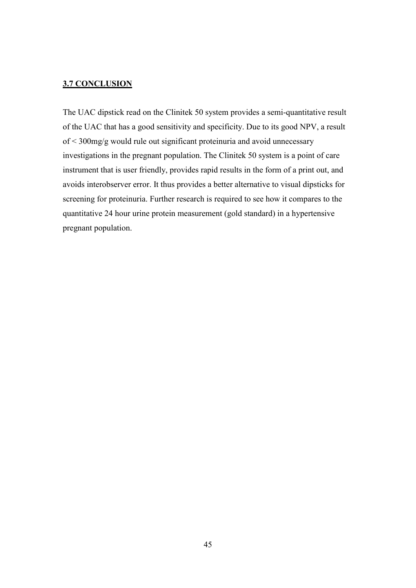## **3.7 CONCLUSION**

The UAC dipstick read on the Clinitek 50 system provides a semi-quantitative result of the UAC that has a good sensitivity and specificity. Due to its good NPV, a result of < 300mg/g would rule out significant proteinuria and avoid unnecessary investigations in the pregnant population. The Clinitek 50 system is a point of care instrument that is user friendly, provides rapid results in the form of a print out, and avoids interobserver error. It thus provides a better alternative to visual dipsticks for screening for proteinuria. Further research is required to see how it compares to the quantitative 24 hour urine protein measurement (gold standard) in a hypertensive pregnant population.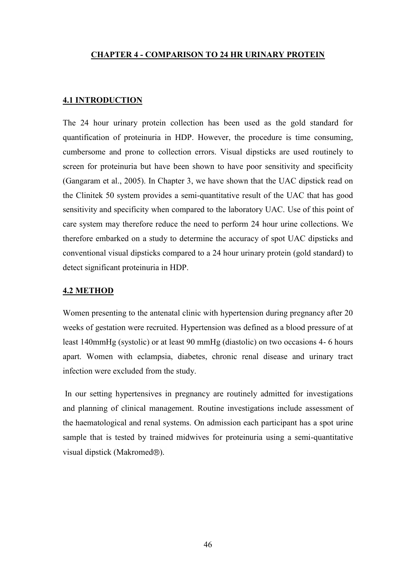## **CHAPTER 4 - COMPARISON TO 24 HR URINARY PROTEIN**

## **4.1 INTRODUCTION**

The 24 hour urinary protein collection has been used as the gold standard for quantification of proteinuria in HDP. However, the procedure is time consuming, cumbersome and prone to collection errors. Visual dipsticks are used routinely to screen for proteinuria but have been shown to have poor sensitivity and specificity (Gangaram et al., 2005). In Chapter 3, we have shown that the UAC dipstick read on the Clinitek 50 system provides a semi-quantitative result of the UAC that has good sensitivity and specificity when compared to the laboratory UAC. Use of this point of care system may therefore reduce the need to perform 24 hour urine collections. We therefore embarked on a study to determine the accuracy of spot UAC dipsticks and conventional visual dipsticks compared to a 24 hour urinary protein (gold standard) to detect significant proteinuria in HDP.

#### **4.2 METHOD**

Women presenting to the antenatal clinic with hypertension during pregnancy after 20 weeks of gestation were recruited. Hypertension was defined as a blood pressure of at least 140mmHg (systolic) or at least 90 mmHg (diastolic) on two occasions 4- 6 hours apart. Women with eclampsia, diabetes, chronic renal disease and urinary tract infection were excluded from the study.

In our setting hypertensives in pregnancy are routinely admitted for investigations and planning of clinical management. Routine investigations include assessment of the haematological and renal systems. On admission each participant has a spot urine sample that is tested by trained midwives for proteinuria using a semi-quantitative visual dipstick (Makromed<sup>®</sup>).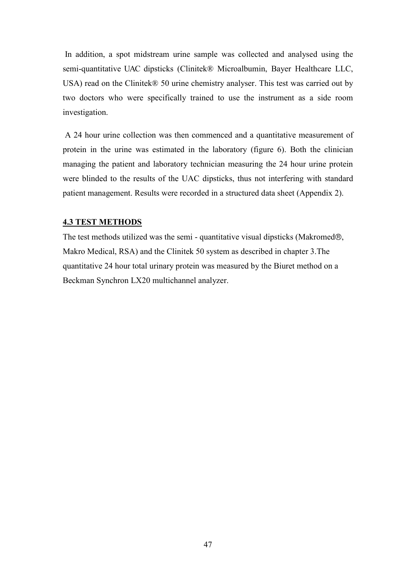In addition, a spot midstream urine sample was collected and analysed using the semi-quantitative UAC dipsticks (Clinitek® Microalbumin, Bayer Healthcare LLC, USA) read on the Clinitek® 50 urine chemistry analyser. This test was carried out by two doctors who were specifically trained to use the instrument as a side room investigation.

A 24 hour urine collection was then commenced and a quantitative measurement of protein in the urine was estimated in the laboratory (figure 6). Both the clinician managing the patient and laboratory technician measuring the 24 hour urine protein were blinded to the results of the UAC dipsticks, thus not interfering with standard patient management. Results were recorded in a structured data sheet (Appendix 2).

### **4.3 TEST METHODS**

The test methods utilized was the semi - quantitative visual dipsticks (Makromed $\circledast$ , Makro Medical, RSA) and the Clinitek 50 system as described in chapter 3.The quantitative 24 hour total urinary protein was measured by the Biuret method on a Beckman Synchron LX20 multichannel analyzer.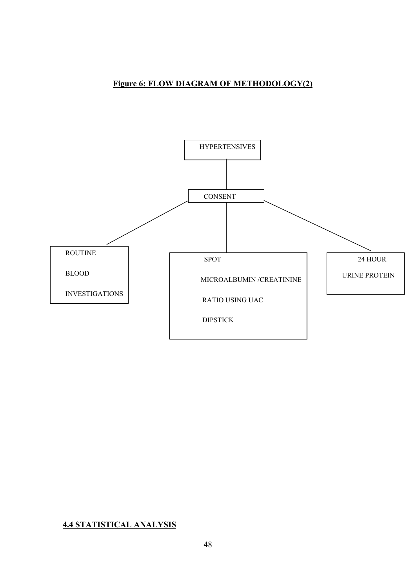## **Figure 6: FLOW DIAGRAM OF METHODOLOGY(2)**



## **4.4 STATISTICAL ANALYSIS**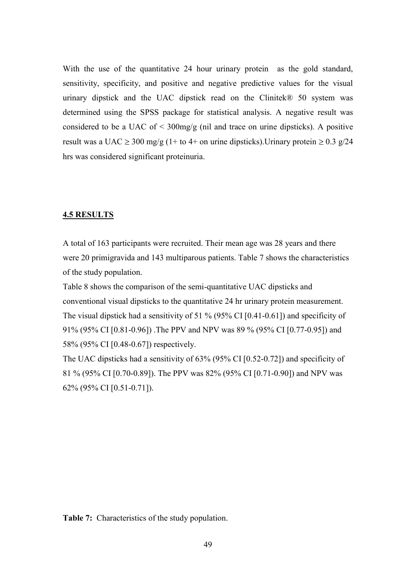With the use of the quantitative 24 hour urinary protein as the gold standard, sensitivity, specificity, and positive and negative predictive values for the visual urinary dipstick and the UAC dipstick read on the Clinitek® 50 system was determined using the SPSS package for statistical analysis. A negative result was considered to be a UAC of  $\leq$  300mg/g (nil and trace on urine dipsticks). A positive result was a UAC  $\geq$  300 mg/g (1+ to 4+ on urine dipsticks). Urinary protein  $\geq$  0.3 g/24 hrs was considered significant proteinuria.

## **4.5 RESULTS**

A total of 163 participants were recruited. Their mean age was 28 years and there were 20 primigravida and 143 multiparous patients. Table 7 shows the characteristics of the study population.

Table 8 shows the comparison of the semi-quantitative UAC dipsticks and conventional visual dipsticks to the quantitative 24 hr urinary protein measurement. The visual dipstick had a sensitivity of 51 % (95% CI [0.41-0.61]) and specificity of 91% (95% CI [0.81-0.96]) .The PPV and NPV was 89 % (95% CI [0.77-0.95]) and 58% (95% CI [0.48-0.67]) respectively.

The UAC dipsticks had a sensitivity of 63% (95% CI [0.52-0.72]) and specificity of 81 % (95% CI [0.70-0.89]). The PPV was 82% (95% CI [0.71-0.90]) and NPV was 62% (95% CI [0.51-0.71]).

**Table 7:** Characteristics of the study population.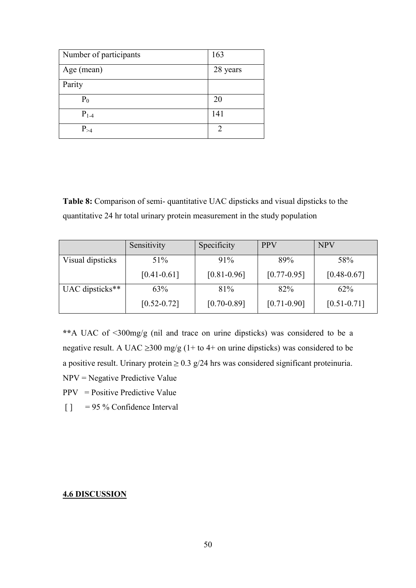| Number of participants | 163      |
|------------------------|----------|
| Age (mean)             | 28 years |
| Parity                 |          |
| $P_0$                  | 20       |
| $P_{1-4}$              | 141      |
| $P_{\geq 4}$           | っ        |

**Table 8:** Comparison of semi- quantitative UAC dipsticks and visual dipsticks to the quantitative 24 hr total urinary protein measurement in the study population

|                  | Sensitivity     | Specificity     | <b>PPV</b>      | <b>NPV</b>      |
|------------------|-----------------|-----------------|-----------------|-----------------|
| Visual dipsticks | 51%             | 91%             | 89%             | 58%             |
|                  | $[0.41 - 0.61]$ | $[0.81 - 0.96]$ | $[0.77 - 0.95]$ | $[0.48 - 0.67]$ |
| UAC dipsticks**  | 63%             | 81%             | 82%             | 62%             |
|                  | $[0.52 - 0.72]$ | $[0.70 - 0.89]$ | $[0.71 - 0.90]$ | $[0.51 - 0.71]$ |

**\*\***A UAC of <300mg/g (nil and trace on urine dipsticks) was considered to be a negative result. A UAC  $\geq$ 300 mg/g (1+ to 4+ on urine dipsticks) was considered to be a positive result. Urinary protein  $\geq 0.3$  g/24 hrs was considered significant proteinuria.

- NPV = Negative Predictive Value
- $PPV = Positive Predictive Value$
- $\begin{bmatrix} \end{bmatrix}$  = 95 % Confidence Interval

## **4.6 DISCUSSION**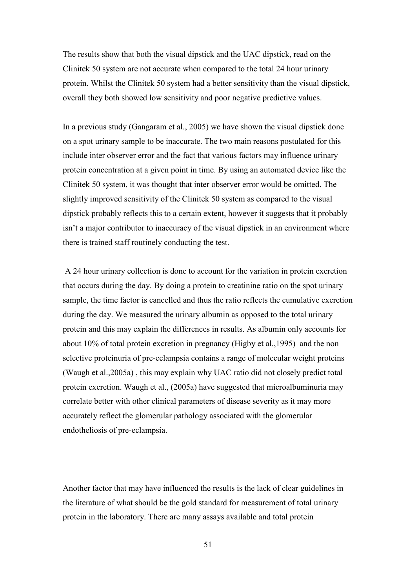The results show that both the visual dipstick and the UAC dipstick, read on the Clinitek 50 system are not accurate when compared to the total 24 hour urinary protein. Whilst the Clinitek 50 system had a better sensitivity than the visual dipstick, overall they both showed low sensitivity and poor negative predictive values.

In a previous study (Gangaram et al., 2005) we have shown the visual dipstick done on a spot urinary sample to be inaccurate. The two main reasons postulated for this include inter observer error and the fact that various factors may influence urinary protein concentration at a given point in time. By using an automated device like the Clinitek 50 system, it was thought that inter observer error would be omitted. The slightly improved sensitivity of the Clinitek 50 system as compared to the visual dipstick probably reflects this to a certain extent, however it suggests that it probably isn"t a major contributor to inaccuracy of the visual dipstick in an environment where there is trained staff routinely conducting the test.

A 24 hour urinary collection is done to account for the variation in protein excretion that occurs during the day. By doing a protein to creatinine ratio on the spot urinary sample, the time factor is cancelled and thus the ratio reflects the cumulative excretion during the day. We measured the urinary albumin as opposed to the total urinary protein and this may explain the differences in results. As albumin only accounts for about 10% of total protein excretion in pregnancy (Higby et al.,1995) and the non selective proteinuria of pre-eclampsia contains a range of molecular weight proteins (Waugh et al.,2005a) , this may explain why UAC ratio did not closely predict total protein excretion. Waugh et al., (2005a) have suggested that microalbuminuria may correlate better with other clinical parameters of disease severity as it may more accurately reflect the glomerular pathology associated with the glomerular endotheliosis of pre-eclampsia.

Another factor that may have influenced the results is the lack of clear guidelines in the literature of what should be the gold standard for measurement of total urinary protein in the laboratory. There are many assays available and total protein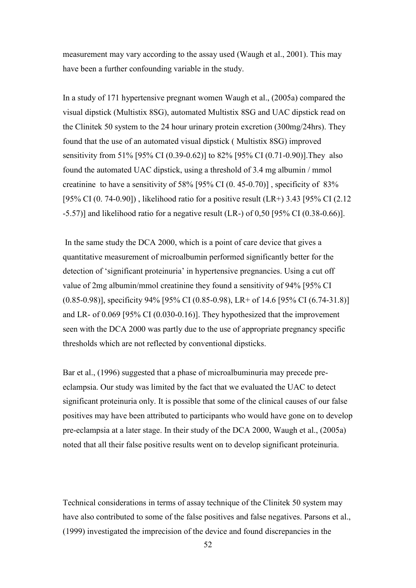measurement may vary according to the assay used (Waugh et al., 2001). This may have been a further confounding variable in the study.

In a study of 171 hypertensive pregnant women Waugh et al., (2005a) compared the visual dipstick (Multistix 8SG), automated Multistix 8SG and UAC dipstick read on the Clinitek 50 system to the 24 hour urinary protein excretion (300mg/24hrs). They found that the use of an automated visual dipstick ( Multistix 8SG) improved sensitivity from 51% [95% CI (0.39-0.62)] to 82% [95% CI (0.71-0.90)].They also found the automated UAC dipstick, using a threshold of 3.4 mg albumin / mmol creatinine to have a sensitivity of 58% [95% CI (0. 45-0.70)] , specificity of 83% [95% CI (0. 74-0.90]) , likelihood ratio for a positive result (LR+) 3.43 [95% CI (2.12 -5.57)] and likelihood ratio for a negative result (LR-) of 0,50 [95% CI (0.38-0.66)].

In the same study the DCA 2000, which is a point of care device that gives a quantitative measurement of microalbumin performed significantly better for the detection of "significant proteinuria" in hypertensive pregnancies. Using a cut off value of 2mg albumin/mmol creatinine they found a sensitivity of 94% [95% CI (0.85-0.98)], specificity 94% [95% CI (0.85-0.98), LR+ of 14.6 [95% CI (6.74-31.8)] and LR- of 0.069 [95% CI (0.030-0.16)]. They hypothesized that the improvement seen with the DCA 2000 was partly due to the use of appropriate pregnancy specific thresholds which are not reflected by conventional dipsticks.

Bar et al., (1996) suggested that a phase of microalbuminuria may precede preeclampsia. Our study was limited by the fact that we evaluated the UAC to detect significant proteinuria only. It is possible that some of the clinical causes of our false positives may have been attributed to participants who would have gone on to develop pre-eclampsia at a later stage. In their study of the DCA 2000, Waugh et al., (2005a) noted that all their false positive results went on to develop significant proteinuria.

Technical considerations in terms of assay technique of the Clinitek 50 system may have also contributed to some of the false positives and false negatives. Parsons et al., (1999) investigated the imprecision of the device and found discrepancies in the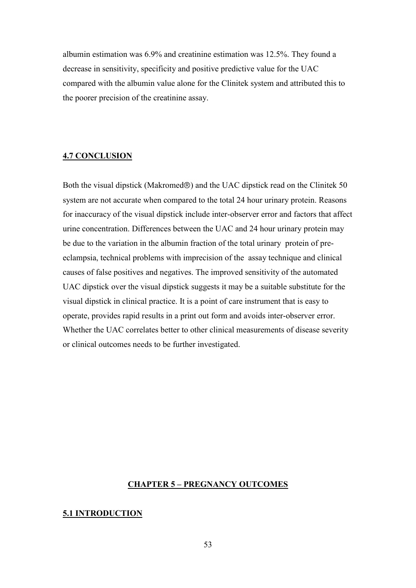albumin estimation was 6.9% and creatinine estimation was 12.5%. They found a decrease in sensitivity, specificity and positive predictive value for the UAC compared with the albumin value alone for the Clinitek system and attributed this to the poorer precision of the creatinine assay.

## **4.7 CONCLUSION**

Both the visual dipstick (Makromed $\circledcirc$ ) and the UAC dipstick read on the Clinitek 50 system are not accurate when compared to the total 24 hour urinary protein. Reasons for inaccuracy of the visual dipstick include inter-observer error and factors that affect urine concentration. Differences between the UAC and 24 hour urinary protein may be due to the variation in the albumin fraction of the total urinary protein of preeclampsia, technical problems with imprecision of the assay technique and clinical causes of false positives and negatives. The improved sensitivity of the automated UAC dipstick over the visual dipstick suggests it may be a suitable substitute for the visual dipstick in clinical practice. It is a point of care instrument that is easy to operate, provides rapid results in a print out form and avoids inter-observer error. Whether the UAC correlates better to other clinical measurements of disease severity or clinical outcomes needs to be further investigated.

### **CHAPTER 5 – PREGNANCY OUTCOMES**

#### **5.1 INTRODUCTION**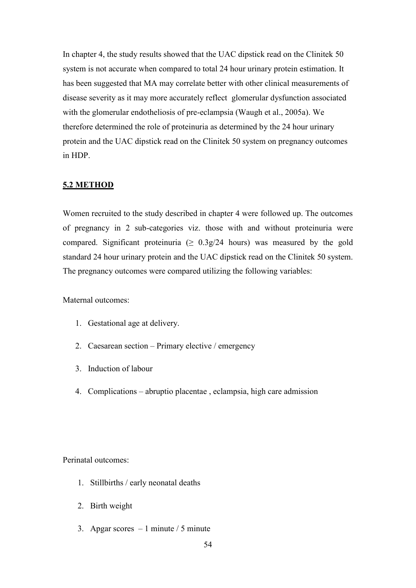In chapter 4, the study results showed that the UAC dipstick read on the Clinitek 50 system is not accurate when compared to total 24 hour urinary protein estimation. It has been suggested that MA may correlate better with other clinical measurements of disease severity as it may more accurately reflect glomerular dysfunction associated with the glomerular endotheliosis of pre-eclampsia (Waugh et al., 2005a). We therefore determined the role of proteinuria as determined by the 24 hour urinary protein and the UAC dipstick read on the Clinitek 50 system on pregnancy outcomes in HDP.

## **5.2 METHOD**

Women recruited to the study described in chapter 4 were followed up. The outcomes of pregnancy in 2 sub-categories viz. those with and without proteinuria were compared. Significant proteinuria ( $\geq 0.3$ g/24 hours) was measured by the gold standard 24 hour urinary protein and the UAC dipstick read on the Clinitek 50 system. The pregnancy outcomes were compared utilizing the following variables:

Maternal outcomes:

- 1. Gestational age at delivery.
- 2. Caesarean section Primary elective / emergency
- 3. Induction of labour
- 4. Complications abruptio placentae , eclampsia, high care admission

Perinatal outcomes:

- 1. Stillbirths / early neonatal deaths
- 2. Birth weight
- 3. Apgar scores  $-1$  minute / 5 minute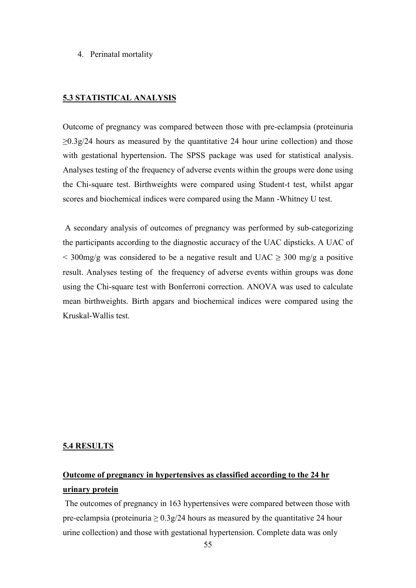#### 4. Perinatal mortality

### **5.3 STATISTICAL ANALYSIS**

Outcome of pregnancy was compared between those with pre-eclampsia (proteinuria  $\geq 0.3$  g/24 hours as measured by the quantitative 24 hour urine collection) and those with gestational hypertension**.** The SPSS package was used for statistical analysis. Analyses testing of the frequency of adverse events within the groups were done using the Chi-square test. Birthweights were compared using Student-t test, whilst apgar scores and biochemical indices were compared using the Mann -Whitney U test.

A secondary analysis of outcomes of pregnancy was performed by sub-categorizing the participants according to the diagnostic accuracy of the UAC dipsticks. A UAC of  $\leq$  300mg/g was considered to be a negative result and UAC  $\geq$  300 mg/g a positive result. Analyses testing of the frequency of adverse events within groups was done using the Chi-square test with Bonferroni correction. ANOVA was used to calculate mean birthweights. Birth apgars and biochemical indices were compared using the Kruskal-Wallis test.

#### **5.4 RESULTS**

# **Outcome of pregnancy in hypertensives as classified according to the 24 hr urinary protein**

The outcomes of pregnancy in 163 hypertensives were compared between those with pre-eclampsia (proteinuria  $\geq 0.3$  g/24 hours as measured by the quantitative 24 hour urine collection) and those with gestational hypertension. Complete data was only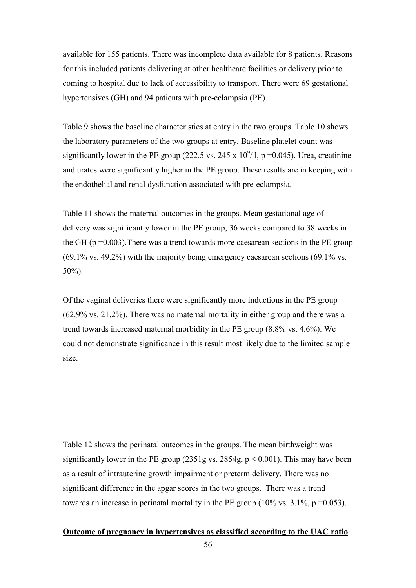available for 155 patients. There was incomplete data available for 8 patients. Reasons for this included patients delivering at other healthcare facilities or delivery prior to coming to hospital due to lack of accessibility to transport. There were 69 gestational hypertensives (GH) and 94 patients with pre-eclampsia (PE).

Table 9 shows the baseline characteristics at entry in the two groups. Table 10 shows the laboratory parameters of the two groups at entry. Baseline platelet count was significantly lower in the PE group (222.5 vs. 245 x  $10^9/1$ , p =0.045). Urea, creatinine and urates were significantly higher in the PE group. These results are in keeping with the endothelial and renal dysfunction associated with pre-eclampsia.

Table 11 shows the maternal outcomes in the groups. Mean gestational age of delivery was significantly lower in the PE group, 36 weeks compared to 38 weeks in the GH ( $p = 0.003$ ). There was a trend towards more caesarean sections in the PE group (69.1% vs. 49.2%) with the majority being emergency caesarean sections (69.1% vs. 50%).

Of the vaginal deliveries there were significantly more inductions in the PE group (62.9% vs. 21.2%). There was no maternal mortality in either group and there was a trend towards increased maternal morbidity in the PE group (8.8% vs. 4.6%). We could not demonstrate significance in this result most likely due to the limited sample size.

Table 12 shows the perinatal outcomes in the groups. The mean birthweight was significantly lower in the PE group (2351g vs. 2854g,  $p < 0.001$ ). This may have been as a result of intrauterine growth impairment or preterm delivery. There was no significant difference in the apgar scores in the two groups. There was a trend towards an increase in perinatal mortality in the PE group  $(10\% \text{ vs. } 3.1\%, \text{ p} = 0.053)$ .

## **Outcome of pregnancy in hypertensives as classified according to the UAC ratio**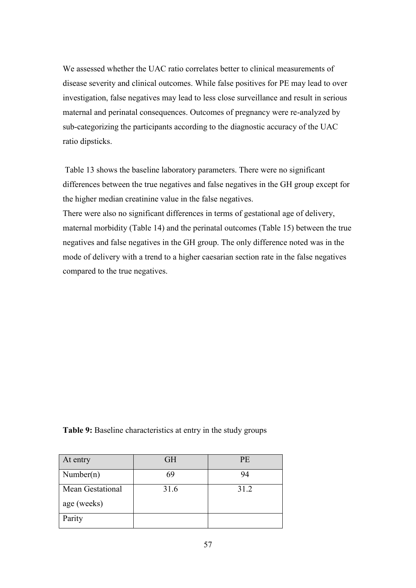We assessed whether the UAC ratio correlates better to clinical measurements of disease severity and clinical outcomes. While false positives for PE may lead to over investigation, false negatives may lead to less close surveillance and result in serious maternal and perinatal consequences. Outcomes of pregnancy were re-analyzed by sub-categorizing the participants according to the diagnostic accuracy of the UAC ratio dipsticks.

Table 13 shows the baseline laboratory parameters. There were no significant differences between the true negatives and false negatives in the GH group except for the higher median creatinine value in the false negatives.

There were also no significant differences in terms of gestational age of delivery, maternal morbidity (Table 14) and the perinatal outcomes (Table 15) between the true negatives and false negatives in the GH group. The only difference noted was in the mode of delivery with a trend to a higher caesarian section rate in the false negatives compared to the true negatives.

**Table 9:** Baseline characteristics at entry in the study groups

| At entry                        | <b>GH</b> | <b>PE</b> |
|---------------------------------|-----------|-----------|
| Number(n)                       | 69        | 94        |
| Mean Gestational<br>age (weeks) | 31.6      | 31.2      |
| Parity                          |           |           |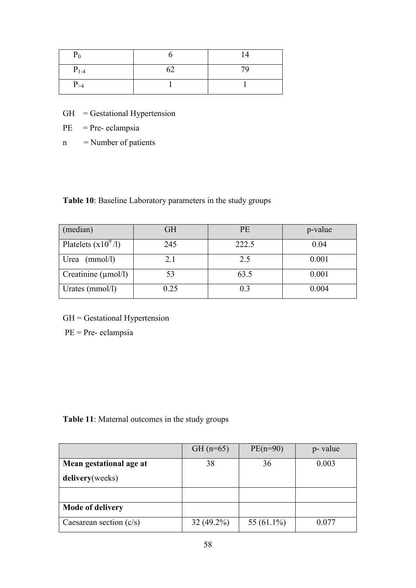| $P_0$     |    | 14 |
|-----------|----|----|
| $P_{1-4}$ | 62 | 79 |
| $P_{>4}$  |    |    |

- GH = Gestational Hypertension
- $PE$  = Pre- eclampsia
- $n =$  Number of patients

**Table 10**: Baseline Laboratory parameters in the study groups

| (median)                        | <b>GH</b> | PE    | p-value |
|---------------------------------|-----------|-------|---------|
| Platelets $(x10^9/l)$           | 245       | 222.5 | 0.04    |
| (mmol/l)<br>Urea                | 2.1       | 2.5   | 0.001   |
| Creatinine $(\mu \text{mol/l})$ | 53        | 63.5  | 0.001   |
| Urates ( $mmol/l$ )             | 0.25      | 0.3   | 0.004   |

GH = Gestational Hypertension

PE = Pre- eclampsia

**Table 11**: Maternal outcomes in the study groups

|                           | $GH (n=65)$  | $PE(n=90)$    | p- value |
|---------------------------|--------------|---------------|----------|
| Mean gestational age at   | 38           | 36            | 0.003    |
| delivery(weeks)           |              |               |          |
|                           |              |               |          |
| <b>Mode of delivery</b>   |              |               |          |
| Caesarean section $(c/s)$ | $32(49.2\%)$ | 55 $(61.1\%)$ | 0.077    |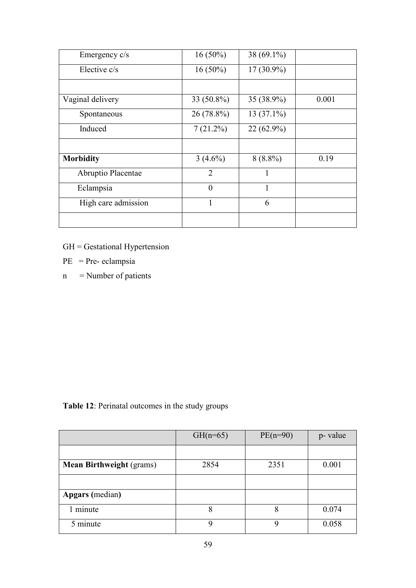| Emergency c/s       | $16(50\%)$     | 38 $(69.1\%)$ |       |
|---------------------|----------------|---------------|-------|
| Elective c/s        | $16(50\%)$     | $17(30.9\%)$  |       |
|                     |                |               |       |
| Vaginal delivery    | 33 (50.8%)     | 35 (38.9%)    | 0.001 |
| Spontaneous         | 26 (78.8%)     | $13(37.1\%)$  |       |
| Induced             | 7(21.2%)       | $22(62.9\%)$  |       |
|                     |                |               |       |
| <b>Morbidity</b>    | $3(4.6\%)$     | $8(8.8\%)$    | 0.19  |
| Abruptio Placentae  | $\overline{2}$ |               |       |
| Eclampsia           | $\overline{0}$ | 1             |       |
| High care admission | $\mathbf{1}$   | 6             |       |
|                     |                |               |       |

- PE = Pre- eclampsia
- $n$  = Number of patients

**Table 12**: Perinatal outcomes in the study groups

|                                 | $GH(n=65)$ | $PE(n=90)$ | p- value |
|---------------------------------|------------|------------|----------|
|                                 |            |            |          |
| <b>Mean Birthweight (grams)</b> | 2854       | 2351       | 0.001    |
|                                 |            |            |          |
| <b>Apgars</b> (median)          |            |            |          |
| 1 minute                        | 8          | 8          | 0.074    |
| 5 minute                        | q          |            | 0.058    |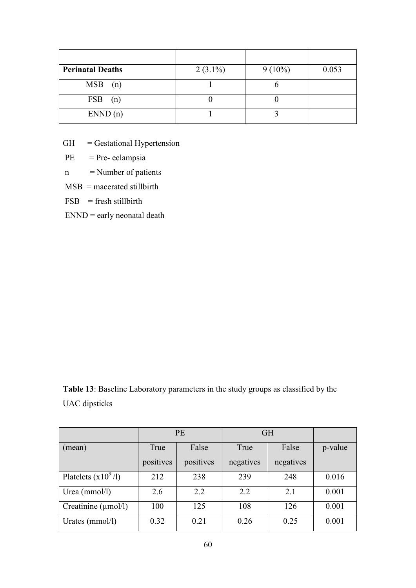| <b>Perinatal Deaths</b> | $2(3.1\%)$ | $9(10\%)$ | 0.053 |
|-------------------------|------------|-----------|-------|
| MSB(n)                  |            |           |       |
| $FSB$ (n)               |            |           |       |
| END(n)                  |            |           |       |

 $PE$  = Pre- eclampsia

n = Number of patients

 $MSB$  = macerated stillbirth

 $FSB =$  fresh stillbirth

 $END = early$  neonatal death

**Table 13**: Baseline Laboratory parameters in the study groups as classified by the UAC dipsticks

|                          | <b>PE</b> |           | <b>GH</b> |           |         |
|--------------------------|-----------|-----------|-----------|-----------|---------|
| (mean)                   | True      | False     | True      | False     | p-value |
|                          | positives | positives | negatives | negatives |         |
| Platelets $(x109/l)$     | 212       | 238       | 239       | 248       | 0.016   |
| Urea ( $mmol/l$ )        | 2.6       | 2.2       | 2.2       | 2.1       | 0.001   |
| Creatinine $(\mu$ mol/l) | 100       | 125       | 108       | 126       | 0.001   |
| Urates (mmol/l)          | 0.32      | 0.21      | 0.26      | 0.25      | 0.001   |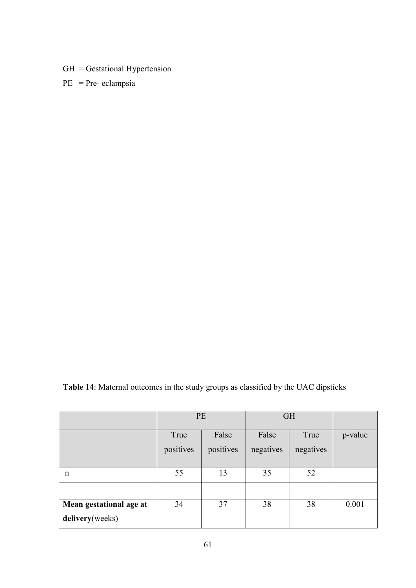$PE$  = Pre- eclampsia

| Table 14: Maternal outcomes in the study groups as classified by the UAC dipsticks |
|------------------------------------------------------------------------------------|
|------------------------------------------------------------------------------------|

|                         | PE        |           | <b>GH</b> |           |         |
|-------------------------|-----------|-----------|-----------|-----------|---------|
|                         | True      | False     | False     | True      | p-value |
|                         | positives | positives | negatives | negatives |         |
| n                       | 55        | 13        | 35        | 52        |         |
|                         |           |           |           |           |         |
| Mean gestational age at | 34        | 37        | 38        | 38        | 0.001   |
| delivery(weeks)         |           |           |           |           |         |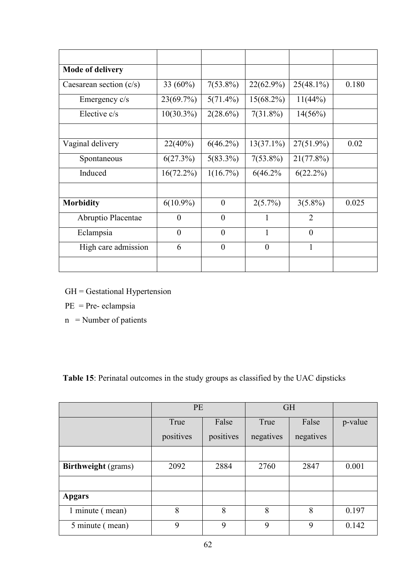| <b>Mode of delivery</b>   |                |                  |                  |                |       |
|---------------------------|----------------|------------------|------------------|----------------|-------|
| Caesarean section $(c/s)$ | 33 (60%)       | $7(53.8\%)$      | $22(62.9\%)$     | $25(48.1\%)$   | 0.180 |
| Emergency c/s             | $23(69.7\%)$   | $5(71.4\%)$      | $15(68.2\%)$     | 11(44%)        |       |
| Elective c/s              | $10(30.3\%)$   | $2(28.6\%)$      | $7(31.8\%)$      | 14(56%)        |       |
|                           |                |                  |                  |                |       |
| Vaginal delivery          | 22(40%)        | $6(46.2\%)$      | $13(37.1\%)$     | $27(51.9\%)$   | 0.02  |
| Spontaneous               | 6(27.3%)       | $5(83.3\%)$      | $7(53.8\%)$      | 21(77.8%)      |       |
| Induced                   | $16(72.2\%)$   | $1(16.7\%)$      | 6(46.2%          | $6(22.2\%)$    |       |
|                           |                |                  |                  |                |       |
| <b>Morbidity</b>          | $6(10.9\%)$    | $\overline{0}$   | $2(5.7\%)$       | $3(5.8\%)$     | 0.025 |
| Abruptio Placentae        | $\overline{0}$ | $\overline{0}$   |                  | $\overline{2}$ |       |
| Eclampsia                 | $\overline{0}$ | $\overline{0}$   |                  | $\overline{0}$ |       |
| High care admission       | 6              | $\boldsymbol{0}$ | $\boldsymbol{0}$ | $\mathbf{1}$   |       |
|                           |                |                  |                  |                |       |

- GH = Gestational Hypertension
- PE = Pre- eclampsia
- $n =$  Number of patients

**Table 15**: Perinatal outcomes in the study groups as classified by the UAC dipsticks

|                            | PE        |           | <b>GH</b> |           |         |
|----------------------------|-----------|-----------|-----------|-----------|---------|
|                            | True      | False     | True      | False     | p-value |
|                            | positives | positives | negatives | negatives |         |
|                            |           |           |           |           |         |
| <b>Birthweight</b> (grams) | 2092      | 2884      | 2760      | 2847      | 0.001   |
|                            |           |           |           |           |         |
| <b>Apgars</b>              |           |           |           |           |         |
| 1 minute (mean)            | 8         | 8         | 8         | 8         | 0.197   |
| 5 minute (mean)            | 9         | 9         | 9         | 9         | 0.142   |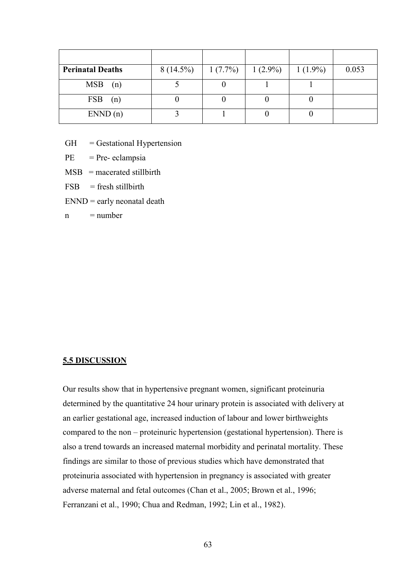| <b>Perinatal Deaths</b> | $8(14.5\%)$ | $1(7.7\%)$ | $1(2.9\%)$ | $1(1.9\%)$ | 0.053 |
|-------------------------|-------------|------------|------------|------------|-------|
| MSB(n)                  |             |            |            |            |       |
| $FSB$ (n)               |             |            |            |            |       |
| END(n)                  |             |            |            |            |       |

 $PE$  = Pre- eclampsia

 $MSB$  = macerated stillbirth

 $FSB =$  fresh stillbirth

 $END =$  early neonatal death

 $n = number$ 

#### **5.5 DISCUSSION**

Our results show that in hypertensive pregnant women, significant proteinuria determined by the quantitative 24 hour urinary protein is associated with delivery at an earlier gestational age, increased induction of labour and lower birthweights compared to the non – proteinuric hypertension (gestational hypertension). There is also a trend towards an increased maternal morbidity and perinatal mortality. These findings are similar to those of previous studies which have demonstrated that proteinuria associated with hypertension in pregnancy is associated with greater adverse maternal and fetal outcomes (Chan et al., 2005; Brown et al., 1996; Ferranzani et al., 1990; Chua and Redman, 1992; Lin et al., 1982).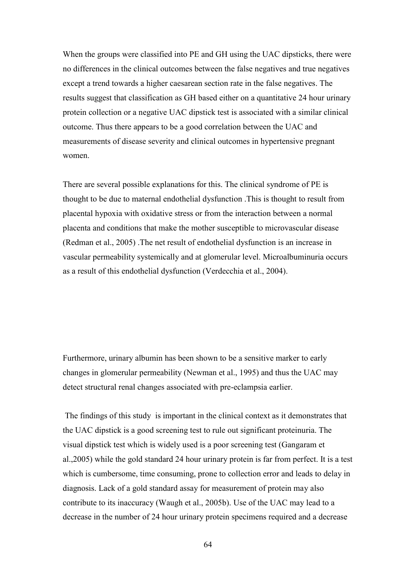When the groups were classified into PE and GH using the UAC dipsticks, there were no differences in the clinical outcomes between the false negatives and true negatives except a trend towards a higher caesarean section rate in the false negatives. The results suggest that classification as GH based either on a quantitative 24 hour urinary protein collection or a negative UAC dipstick test is associated with a similar clinical outcome. Thus there appears to be a good correlation between the UAC and measurements of disease severity and clinical outcomes in hypertensive pregnant women.

There are several possible explanations for this. The clinical syndrome of PE is thought to be due to maternal endothelial dysfunction .This is thought to result from placental hypoxia with oxidative stress or from the interaction between a normal placenta and conditions that make the mother susceptible to microvascular disease (Redman et al., 2005) .The net result of endothelial dysfunction is an increase in vascular permeability systemically and at glomerular level. Microalbuminuria occurs as a result of this endothelial dysfunction (Verdecchia et al., 2004).

Furthermore, urinary albumin has been shown to be a sensitive marker to early changes in glomerular permeability (Newman et al., 1995) and thus the UAC may detect structural renal changes associated with pre-eclampsia earlier.

The findings of this study is important in the clinical context as it demonstrates that the UAC dipstick is a good screening test to rule out significant proteinuria. The visual dipstick test which is widely used is a poor screening test (Gangaram et al.,2005) while the gold standard 24 hour urinary protein is far from perfect. It is a test which is cumbersome, time consuming, prone to collection error and leads to delay in diagnosis. Lack of a gold standard assay for measurement of protein may also contribute to its inaccuracy (Waugh et al., 2005b). Use of the UAC may lead to a decrease in the number of 24 hour urinary protein specimens required and a decrease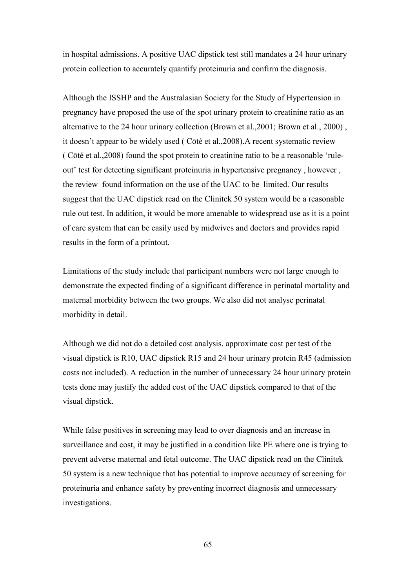in hospital admissions. A positive UAC dipstick test still mandates a 24 hour urinary protein collection to accurately quantify proteinuria and confirm the diagnosis.

Although the ISSHP and the Australasian Society for the Study of Hypertension in pregnancy have proposed the use of the spot urinary protein to creatinine ratio as an alternative to the 24 hour urinary collection (Brown et al.,2001; Brown et al., 2000) , it doesn"t appear to be widely used ( Cōté et al.,2008).A recent systematic review ( Cōté et al.,2008) found the spot protein to creatinine ratio to be a reasonable "ruleout' test for detecting significant proteinuria in hypertensive pregnancy, however, the review found information on the use of the UAC to be limited. Our results suggest that the UAC dipstick read on the Clinitek 50 system would be a reasonable rule out test. In addition, it would be more amenable to widespread use as it is a point of care system that can be easily used by midwives and doctors and provides rapid results in the form of a printout.

Limitations of the study include that participant numbers were not large enough to demonstrate the expected finding of a significant difference in perinatal mortality and maternal morbidity between the two groups. We also did not analyse perinatal morbidity in detail.

Although we did not do a detailed cost analysis, approximate cost per test of the visual dipstick is R10, UAC dipstick R15 and 24 hour urinary protein R45 (admission costs not included). A reduction in the number of unnecessary 24 hour urinary protein tests done may justify the added cost of the UAC dipstick compared to that of the visual dipstick.

While false positives in screening may lead to over diagnosis and an increase in surveillance and cost, it may be justified in a condition like PE where one is trying to prevent adverse maternal and fetal outcome. The UAC dipstick read on the Clinitek 50 system is a new technique that has potential to improve accuracy of screening for proteinuria and enhance safety by preventing incorrect diagnosis and unnecessary investigations.

65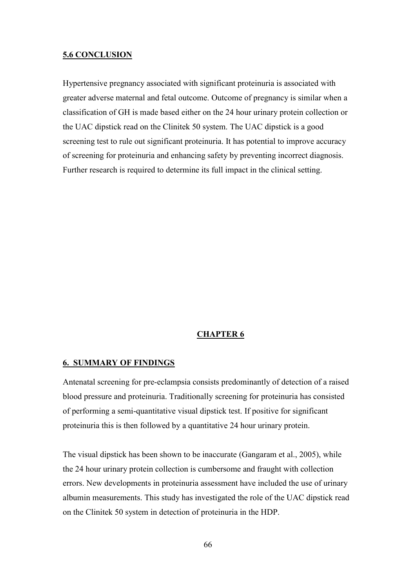#### **5.6 CONCLUSION**

Hypertensive pregnancy associated with significant proteinuria is associated with greater adverse maternal and fetal outcome. Outcome of pregnancy is similar when a classification of GH is made based either on the 24 hour urinary protein collection or the UAC dipstick read on the Clinitek 50 system. The UAC dipstick is a good screening test to rule out significant proteinuria. It has potential to improve accuracy of screening for proteinuria and enhancing safety by preventing incorrect diagnosis. Further research is required to determine its full impact in the clinical setting.

### **CHAPTER 6**

#### **6. SUMMARY OF FINDINGS**

Antenatal screening for pre-eclampsia consists predominantly of detection of a raised blood pressure and proteinuria. Traditionally screening for proteinuria has consisted of performing a semi-quantitative visual dipstick test. If positive for significant proteinuria this is then followed by a quantitative 24 hour urinary protein.

The visual dipstick has been shown to be inaccurate (Gangaram et al., 2005), while the 24 hour urinary protein collection is cumbersome and fraught with collection errors. New developments in proteinuria assessment have included the use of urinary albumin measurements. This study has investigated the role of the UAC dipstick read on the Clinitek 50 system in detection of proteinuria in the HDP.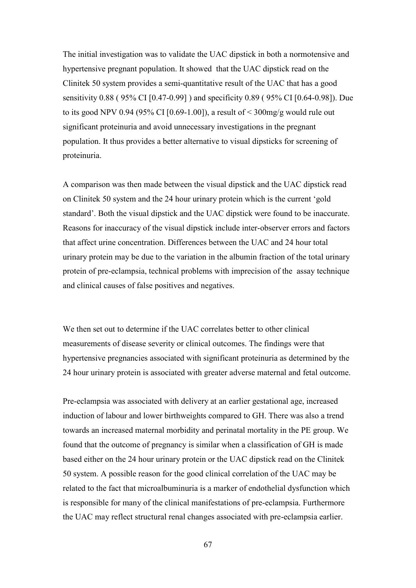The initial investigation was to validate the UAC dipstick in both a normotensive and hypertensive pregnant population. It showed that the UAC dipstick read on the Clinitek 50 system provides a semi-quantitative result of the UAC that has a good sensitivity 0.88 ( 95% CI [0.47-0.99] ) and specificity 0.89 ( 95% CI [0.64-0.98]). Due to its good NPV 0.94 (95% CI [0.69-1.00]), a result of  $\leq$  300mg/g would rule out significant proteinuria and avoid unnecessary investigations in the pregnant population. It thus provides a better alternative to visual dipsticks for screening of proteinuria.

A comparison was then made between the visual dipstick and the UAC dipstick read on Clinitek 50 system and the 24 hour urinary protein which is the current "gold standard". Both the visual dipstick and the UAC dipstick were found to be inaccurate. Reasons for inaccuracy of the visual dipstick include inter-observer errors and factors that affect urine concentration. Differences between the UAC and 24 hour total urinary protein may be due to the variation in the albumin fraction of the total urinary protein of pre-eclampsia, technical problems with imprecision of the assay technique and clinical causes of false positives and negatives.

We then set out to determine if the UAC correlates better to other clinical measurements of disease severity or clinical outcomes. The findings were that hypertensive pregnancies associated with significant proteinuria as determined by the 24 hour urinary protein is associated with greater adverse maternal and fetal outcome.

Pre-eclampsia was associated with delivery at an earlier gestational age, increased induction of labour and lower birthweights compared to GH. There was also a trend towards an increased maternal morbidity and perinatal mortality in the PE group. We found that the outcome of pregnancy is similar when a classification of GH is made based either on the 24 hour urinary protein or the UAC dipstick read on the Clinitek 50 system. A possible reason for the good clinical correlation of the UAC may be related to the fact that microalbuminuria is a marker of endothelial dysfunction which is responsible for many of the clinical manifestations of pre-eclampsia. Furthermore the UAC may reflect structural renal changes associated with pre-eclampsia earlier.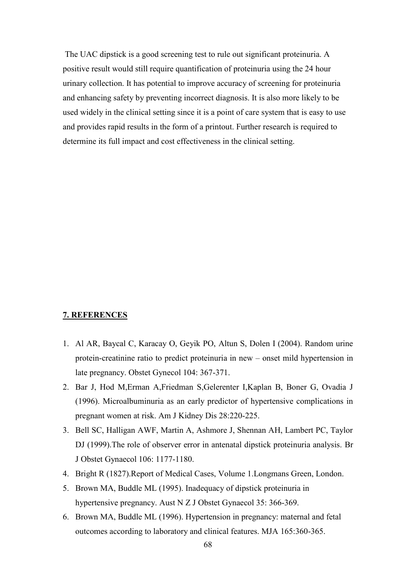The UAC dipstick is a good screening test to rule out significant proteinuria. A positive result would still require quantification of proteinuria using the 24 hour urinary collection. It has potential to improve accuracy of screening for proteinuria and enhancing safety by preventing incorrect diagnosis. It is also more likely to be used widely in the clinical setting since it is a point of care system that is easy to use and provides rapid results in the form of a printout. Further research is required to determine its full impact and cost effectiveness in the clinical setting.

#### **7. REFERENCES**

- 1. Al AR, Baycal C, Karacay O, Geyik PO, Altun S, Dolen I (2004). Random urine protein-creatinine ratio to predict proteinuria in new – onset mild hypertension in late pregnancy. Obstet Gynecol 104: 367-371.
- 2. Bar J, Hod M,Erman A,Friedman S,Gelerenter I,Kaplan B, Boner G, Ovadia J (1996). Microalbuminuria as an early predictor of hypertensive complications in pregnant women at risk. Am J Kidney Dis 28:220-225.
- 3. Bell SC, Halligan AWF, Martin A, Ashmore J, Shennan AH, Lambert PC, Taylor DJ (1999).The role of observer error in antenatal dipstick proteinuria analysis. Br J Obstet Gynaecol 106: 1177-1180.
- 4. Bright R (1827).Report of Medical Cases, Volume 1.Longmans Green, London.
- 5. Brown MA, Buddle ML (1995). Inadequacy of dipstick proteinuria in hypertensive pregnancy. Aust N Z J Obstet Gynaecol 35: 366-369.
- 6. Brown MA, Buddle ML (1996). Hypertension in pregnancy: maternal and fetal outcomes according to laboratory and clinical features. MJA 165:360-365.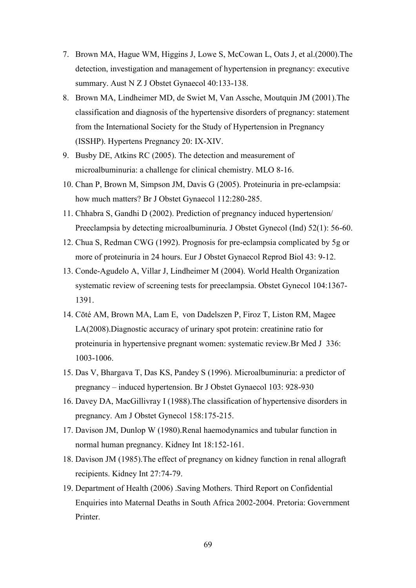- 7. Brown MA, Hague WM, Higgins J, Lowe S, McCowan L, Oats J, et al.(2000).The detection, investigation and management of hypertension in pregnancy: executive summary. Aust N Z J Obstet Gynaecol 40:133-138.
- 8. Brown MA, Lindheimer MD, de Swiet M, Van Assche, Moutquin JM (2001).The classification and diagnosis of the hypertensive disorders of pregnancy: statement from the International Society for the Study of Hypertension in Pregnancy (ISSHP). Hypertens Pregnancy 20: IX-XIV.
- 9. Busby DE, Atkins RC (2005). The detection and measurement of microalbuminuria: a challenge for clinical chemistry. MLO 8-16.
- 10. Chan P, Brown M, Simpson JM, Davis G (2005). Proteinuria in pre-eclampsia: how much matters? Br J Obstet Gynaecol 112:280-285.
- 11. Chhabra S, Gandhi D (2002). Prediction of pregnancy induced hypertension/ Preeclampsia by detecting microalbuminuria. J Obstet Gynecol (Ind) 52(1): 56-60.
- 12. Chua S, Redman CWG (1992). Prognosis for pre-eclampsia complicated by 5g or more of proteinuria in 24 hours. Eur J Obstet Gynaecol Reprod Biol 43: 9-12.
- 13. Conde-Agudelo A, Villar J, Lindheimer M (2004). World Health Organization systematic review of screening tests for preeclampsia. Obstet Gynecol 104:1367- 1391.
- 14. Cōté AM, Brown MA, Lam E, von Dadelszen P, Firoz T, Liston RM, Magee LA(2008).Diagnostic accuracy of urinary spot protein: creatinine ratio for proteinuria in hypertensive pregnant women: systematic review.Br Med J 336: 1003-1006.
- 15. Das V, Bhargava T, Das KS, Pandey S (1996). Microalbuminuria: a predictor of pregnancy – induced hypertension. Br J Obstet Gynaecol 103: 928-930
- 16. Davey DA, MacGillivray I (1988).The classification of hypertensive disorders in pregnancy. Am J Obstet Gynecol 158:175-215.
- 17. Davison JM, Dunlop W (1980).Renal haemodynamics and tubular function in normal human pregnancy. Kidney Int 18:152-161.
- 18. Davison JM (1985).The effect of pregnancy on kidney function in renal allograft recipients. Kidney Int 27:74-79.
- 19. Department of Health (2006) .Saving Mothers. Third Report on Confidential Enquiries into Maternal Deaths in South Africa 2002-2004. Pretoria: Government Printer.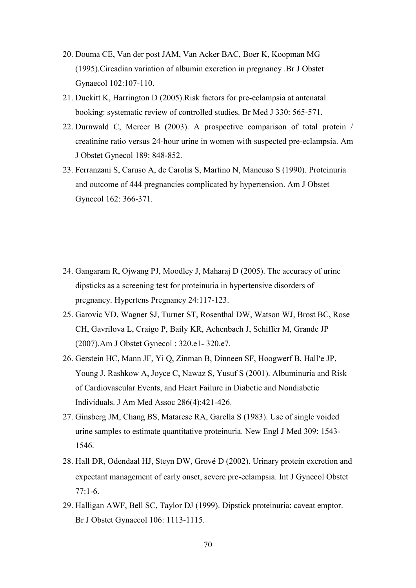- 20. Douma CE, Van der post JAM, Van Acker BAC, Boer K, Koopman MG (1995).Circadian variation of albumin excretion in pregnancy .Br J Obstet Gynaecol 102:107-110.
- 21. Duckitt K, Harrington D (2005).Risk factors for pre-eclampsia at antenatal booking: systematic review of controlled studies. Br Med J 330: 565-571.
- 22. Durnwald C, Mercer B (2003). A prospective comparison of total protein / creatinine ratio versus 24-hour urine in women with suspected pre-eclampsia. Am J Obstet Gynecol 189: 848-852.
- 23. Ferranzani S, Caruso A, de Carolis S, Martino N, Mancuso S (1990). Proteinuria and outcome of 444 pregnancies complicated by hypertension. Am J Obstet Gynecol 162: 366-371.

- 24. Gangaram R, Ojwang PJ, Moodley J, Maharaj D (2005). The accuracy of urine dipsticks as a screening test for proteinuria in hypertensive disorders of pregnancy. Hypertens Pregnancy 24:117-123.
- 25. Garovic VD, Wagner SJ, Turner ST, Rosenthal DW, Watson WJ, Brost BC, Rose CH, Gavrilova L, Craigo P, Baily KR, Achenbach J, Schiffer M, Grande JP (2007).Am J Obstet Gynecol : 320.e1- 320.e7.
- 26. Gerstein HC, Mann JF, Yi Q, Zinman B, Dinneen SF, Hoogwerf B, Hall'e JP, Young J, Rashkow A, Joyce C, Nawaz S, Yusuf S (2001). Albuminuria and Risk of Cardiovascular Events, and Heart Failure in Diabetic and Nondiabetic Individuals. J Am Med Assoc 286(4):421-426.
- 27. Ginsberg JM, Chang BS, Matarese RA, Garella S (1983). Use of single voided urine samples to estimate quantitative proteinuria. New Engl J Med 309: 1543- 1546.
- 28. Hall DR, Odendaal HJ, Steyn DW, Grové D (2002). Urinary protein excretion and expectant management of early onset, severe pre-eclampsia. Int J Gynecol Obstet 77:1-6.
- 29. Halligan AWF, Bell SC, Taylor DJ (1999). Dipstick proteinuria: caveat emptor. Br J Obstet Gynaecol 106: 1113-1115.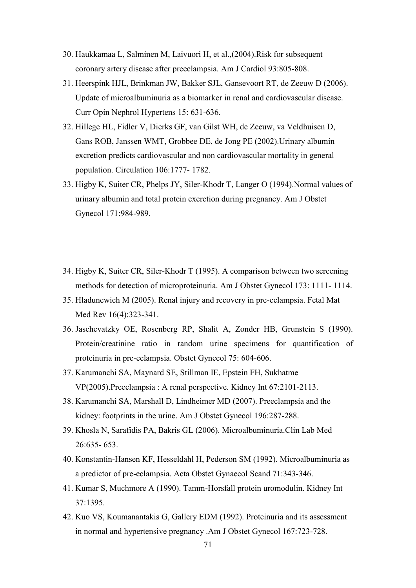- 30. Haukkamaa L, Salminen M, Laivuori H, et al.,(2004).Risk for subsequent coronary artery disease after preeclampsia. Am J Cardiol 93:805-808.
- 31. Heerspink HJL, Brinkman JW, Bakker SJL, Gansevoort RT, de Zeeuw D (2006). Update of microalbuminuria as a biomarker in renal and cardiovascular disease. Curr Opin Nephrol Hypertens 15: 631-636.
- 32. Hillege HL, Fidler V, Dierks GF, van Gilst WH, de Zeeuw, va Veldhuisen D, Gans ROB, Janssen WMT, Grobbee DE, de Jong PE (2002).Urinary albumin excretion predicts cardiovascular and non cardiovascular mortality in general population. Circulation 106:1777- 1782.
- 33. Higby K, Suiter CR, Phelps JY, Siler-Khodr T, Langer O (1994).Normal values of urinary albumin and total protein excretion during pregnancy. Am J Obstet Gynecol 171:984-989.
- 34. Higby K, Suiter CR, Siler-Khodr T (1995). A comparison between two screening methods for detection of microproteinuria. Am J Obstet Gynecol 173: 1111- 1114.
- 35. Hladunewich M (2005). Renal injury and recovery in pre-eclampsia. Fetal Mat Med Rev 16(4):323-341.
- 36. Jaschevatzky OE, Rosenberg RP, Shalit A, Zonder HB, Grunstein S (1990). Protein/creatinine ratio in random urine specimens for quantification of proteinuria in pre-eclampsia. Obstet Gynecol 75: 604-606.
- 37. Karumanchi SA, Maynard SE, Stillman IE, Epstein FH, Sukhatme VP(2005).Preeclampsia : A renal perspective. Kidney Int 67:2101-2113.
- 38. Karumanchi SA, Marshall D, Lindheimer MD (2007). Preeclampsia and the kidney: footprints in the urine. Am J Obstet Gynecol 196:287-288.
- 39. Khosla N, Sarafidis PA, Bakris GL (2006). Microalbuminuria.Clin Lab Med 26:635- 653.
- 40. Konstantin-Hansen KF, Hesseldahl H, Pederson SM (1992). Microalbuminuria as a predictor of pre-eclampsia. Acta Obstet Gynaecol Scand 71:343-346.
- 41. Kumar S, Muchmore A (1990). Tamm-Horsfall protein uromodulin. Kidney Int 37:1395.
- 42. Kuo VS, Koumanantakis G, Gallery EDM (1992). Proteinuria and its assessment in normal and hypertensive pregnancy .Am J Obstet Gynecol 167:723-728.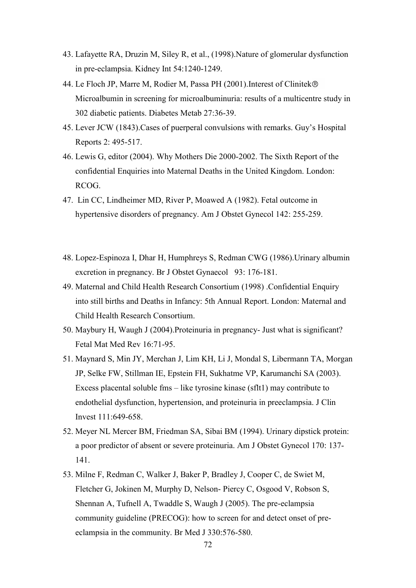- 43. Lafayette RA, Druzin M, Siley R, et al., (1998).Nature of glomerular dysfunction in pre-eclampsia. Kidney Int 54:1240-1249.
- 44. Le Floch JP, Marre M, Rodier M, Passa PH (2001). Interest of Clinitek® Microalbumin in screening for microalbuminuria: results of a multicentre study in 302 diabetic patients. Diabetes Metab 27:36-39.
- 45. Lever JCW (1843).Cases of puerperal convulsions with remarks. Guy"s Hospital Reports 2: 495-517.
- 46. Lewis G, editor (2004). Why Mothers Die 2000-2002. The Sixth Report of the confidential Enquiries into Maternal Deaths in the United Kingdom. London: RCOG.
- 47. Lin CC, Lindheimer MD, River P, Moawed A (1982). Fetal outcome in hypertensive disorders of pregnancy. Am J Obstet Gynecol 142: 255-259.
- 48. Lopez-Espinoza I, Dhar H, Humphreys S, Redman CWG (1986).Urinary albumin excretion in pregnancy. Br J Obstet Gynaecol 93: 176-181.
- 49. Maternal and Child Health Research Consortium (1998) .Confidential Enquiry into still births and Deaths in Infancy: 5th Annual Report. London: Maternal and Child Health Research Consortium.
- 50. Maybury H, Waugh J (2004).Proteinuria in pregnancy- Just what is significant? Fetal Mat Med Rev 16:71-95.
- 51. Maynard S, Min JY, Merchan J, Lim KH, Li J, Mondal S, Libermann TA, Morgan JP, Selke FW, Stillman IE, Epstein FH, Sukhatme VP, Karumanchi SA (2003). Excess placental soluble fms – like tyrosine kinase (sflt1) may contribute to endothelial dysfunction, hypertension, and proteinuria in preeclampsia. J Clin Invest 111:649-658.
- 52. Meyer NL Mercer BM, Friedman SA, Sibai BM (1994). Urinary dipstick protein: a poor predictor of absent or severe proteinuria. Am J Obstet Gynecol 170: 137- 141.
- 53. Milne F, Redman C, Walker J, Baker P, Bradley J, Cooper C, de Swiet M, Fletcher G, Jokinen M, Murphy D, Nelson- Piercy C, Osgood V, Robson S, Shennan A, Tufnell A, Twaddle S, Waugh J (2005). The pre-eclampsia community guideline (PRECOG): how to screen for and detect onset of preeclampsia in the community. Br Med J 330:576-580.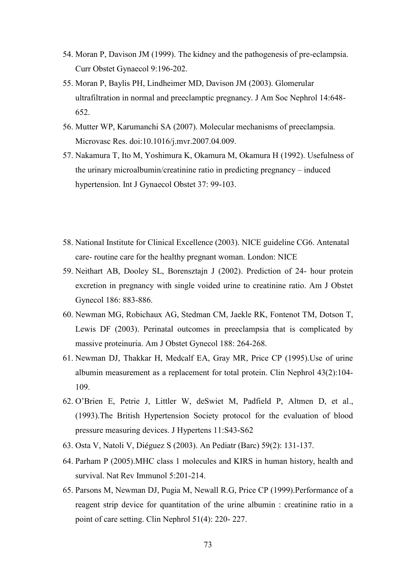- 54. Moran P, Davison JM (1999). The kidney and the pathogenesis of pre-eclampsia. Curr Obstet Gynaecol 9:196-202.
- 55. Moran P, Baylis PH, Lindheimer MD, Davison JM (2003). Glomerular ultrafiltration in normal and preeclamptic pregnancy. J Am Soc Nephrol 14:648- 652.
- 56. Mutter WP, Karumanchi SA (2007). Molecular mechanisms of preeclampsia. Microvasc Res. doi:10.1016/j.mvr.2007.04.009.
- 57. Nakamura T, Ito M, Yoshimura K, Okamura M, Okamura H (1992). Usefulness of the urinary microalbumin/creatinine ratio in predicting pregnancy – induced hypertension. Int J Gynaecol Obstet 37: 99-103.
- 58. National Institute for Clinical Excellence (2003). NICE guideline CG6. Antenatal care- routine care for the healthy pregnant woman. London: NICE
- 59. Neithart AB, Dooley SL, Borensztajn J (2002). Prediction of 24- hour protein excretion in pregnancy with single voided urine to creatinine ratio. Am J Obstet Gynecol 186: 883-886.
- 60. Newman MG, Robichaux AG, Stedman CM, Jaekle RK, Fontenot TM, Dotson T, Lewis DF (2003). Perinatal outcomes in preeclampsia that is complicated by massive proteinuria. Am J Obstet Gynecol 188: 264-268.
- 61. Newman DJ, Thakkar H, Medcalf EA, Gray MR, Price CP (1995).Use of urine albumin measurement as a replacement for total protein. Clin Nephrol 43(2):104- 109.
- 62. O"Brien E, Petrie J, Littler W, deSwiet M, Padfield P, Altmen D, et al., (1993).The British Hypertension Society protocol for the evaluation of blood pressure measuring devices. J Hypertens 11:S43-S62
- 63. Osta V, Natoli V, Diéguez S (2003). An Pediatr (Barc) 59(2): 131-137.
- 64. Parham P (2005).MHC class 1 molecules and KIRS in human history, health and survival. Nat Rev Immunol 5:201-214.
- 65. Parsons M, Newman DJ, Pugia M, Newall R.G, Price CP (1999).Performance of a reagent strip device for quantitation of the urine albumin : creatinine ratio in a point of care setting. Clin Nephrol 51(4): 220- 227.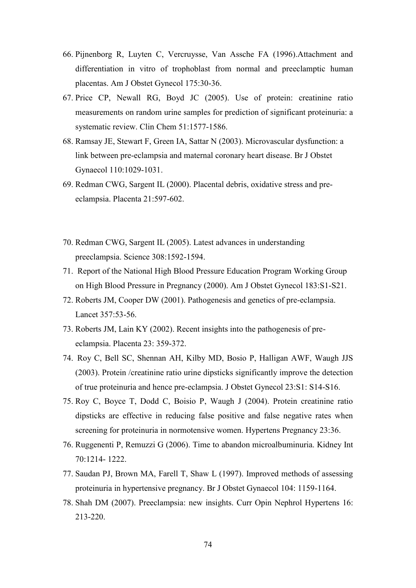- 66. Pijnenborg R, Luyten C, Vercruysse, Van Assche FA (1996).Attachment and differentiation in vitro of trophoblast from normal and preeclamptic human placentas. Am J Obstet Gynecol 175:30-36.
- 67. Price CP, Newall RG, Boyd JC (2005). Use of protein: creatinine ratio measurements on random urine samples for prediction of significant proteinuria: a systematic review. Clin Chem 51:1577-1586.
- 68. Ramsay JE, Stewart F, Green IA, Sattar N (2003). Microvascular dysfunction: a link between pre-eclampsia and maternal coronary heart disease. Br J Obstet Gynaecol 110:1029-1031.
- 69. Redman CWG, Sargent IL (2000). Placental debris, oxidative stress and preeclampsia. Placenta 21:597-602.
- 70. Redman CWG, Sargent IL (2005). Latest advances in understanding preeclampsia. Science 308:1592-1594.
- 71. Report of the National High Blood Pressure Education Program Working Group on High Blood Pressure in Pregnancy (2000). Am J Obstet Gynecol 183:S1-S21.
- 72. Roberts JM, Cooper DW (2001). Pathogenesis and genetics of pre-eclampsia. Lancet 357:53-56.
- 73. Roberts JM, Lain KY (2002). Recent insights into the pathogenesis of preeclampsia. Placenta 23: 359-372.
- 74. Roy C, Bell SC, Shennan AH, Kilby MD, Bosio P, Halligan AWF, Waugh JJS (2003). Protein /creatinine ratio urine dipsticks significantly improve the detection of true proteinuria and hence pre-eclampsia. J Obstet Gynecol 23:S1: S14-S16.
- 75. Roy C, Boyce T, Dodd C, Boisio P, Waugh J (2004). Protein creatinine ratio dipsticks are effective in reducing false positive and false negative rates when screening for proteinuria in normotensive women. Hypertens Pregnancy 23:36.
- 76. Ruggenenti P, Remuzzi G (2006). Time to abandon microalbuminuria. Kidney Int 70:1214- 1222.
- 77. Saudan PJ, Brown MA, Farell T, Shaw L (1997). Improved methods of assessing proteinuria in hypertensive pregnancy. Br J Obstet Gynaecol 104: 1159-1164.
- 78. Shah DM (2007). Preeclampsia: new insights. Curr Opin Nephrol Hypertens 16: 213-220.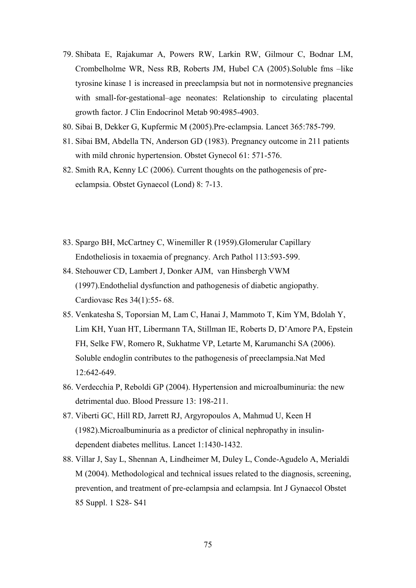- 79. Shibata E, Rajakumar A, Powers RW, Larkin RW, Gilmour C, Bodnar LM, Crombelholme WR, Ness RB, Roberts JM, Hubel CA (2005).Soluble fms –like tyrosine kinase 1 is increased in preeclampsia but not in normotensive pregnancies with small-for-gestational–age neonates: Relationship to circulating placental growth factor. J Clin Endocrinol Metab 90:4985-4903.
- 80. Sibai B, Dekker G, Kupfermic M (2005).Pre-eclampsia. Lancet 365:785-799.
- 81. Sibai BM, Abdella TN, Anderson GD (1983). Pregnancy outcome in 211 patients with mild chronic hypertension. Obstet Gynecol 61: 571-576.
- 82. Smith RA, Kenny LC (2006). Current thoughts on the pathogenesis of preeclampsia. Obstet Gynaecol (Lond) 8: 7-13.
- 83. Spargo BH, McCartney C, Winemiller R (1959).Glomerular Capillary Endotheliosis in toxaemia of pregnancy. Arch Pathol 113:593-599.
- 84. Stehouwer CD, Lambert J, Donker AJM, van Hinsbergh VWM (1997).Endothelial dysfunction and pathogenesis of diabetic angiopathy. Cardiovasc Res 34(1):55- 68.
- 85. Venkatesha S, Toporsian M, Lam C, Hanai J, Mammoto T, Kim YM, Bdolah Y, Lim KH, Yuan HT, Libermann TA, Stillman IE, Roberts D, D"Amore PA, Epstein FH, Selke FW, Romero R, Sukhatme VP, Letarte M, Karumanchi SA (2006). Soluble endoglin contributes to the pathogenesis of preeclampsia.Nat Med 12:642-649.
- 86. Verdecchia P, Reboldi GP (2004). Hypertension and microalbuminuria: the new detrimental duo. Blood Pressure 13: 198-211.
- 87. Viberti GC, Hill RD, Jarrett RJ, Argyropoulos A, Mahmud U, Keen H (1982).Microalbuminuria as a predictor of clinical nephropathy in insulindependent diabetes mellitus. Lancet 1:1430-1432.
- 88. Villar J, Say L, Shennan A, Lindheimer M, Duley L, Conde-Agudelo A, Merialdi M (2004). Methodological and technical issues related to the diagnosis, screening, prevention, and treatment of pre-eclampsia and eclampsia. Int J Gynaecol Obstet 85 Suppl. 1 S28- S41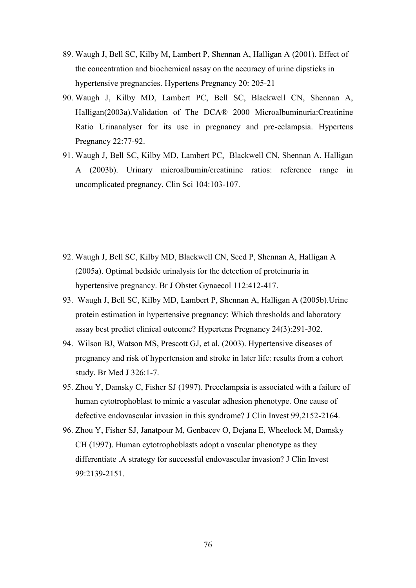- 89. Waugh J, Bell SC, Kilby M, Lambert P, Shennan A, Halligan A (2001). Effect of the concentration and biochemical assay on the accuracy of urine dipsticks in hypertensive pregnancies. Hypertens Pregnancy 20: 205-21
- 90. Waugh J, Kilby MD, Lambert PC, Bell SC, Blackwell CN, Shennan A, Halligan(2003a).Validation of The DCA® 2000 Microalbuminuria:Creatinine Ratio Urinanalyser for its use in pregnancy and pre-eclampsia. Hypertens Pregnancy 22:77-92.
- 91. Waugh J, Bell SC, Kilby MD, Lambert PC, Blackwell CN, Shennan A, Halligan A (2003b). Urinary microalbumin/creatinine ratios: reference range in uncomplicated pregnancy. Clin Sci 104:103-107.

- 92. Waugh J, Bell SC, Kilby MD, Blackwell CN, Seed P, Shennan A, Halligan A (2005a). Optimal bedside urinalysis for the detection of proteinuria in hypertensive pregnancy. Br J Obstet Gynaecol 112:412-417.
- 93. Waugh J, Bell SC, Kilby MD, Lambert P, Shennan A, Halligan A (2005b).Urine protein estimation in hypertensive pregnancy: Which thresholds and laboratory assay best predict clinical outcome? Hypertens Pregnancy 24(3):291-302.
- 94. Wilson BJ, Watson MS, Prescott GJ, et al. (2003). Hypertensive diseases of pregnancy and risk of hypertension and stroke in later life: results from a cohort study. Br Med J 326:1-7.
- 95. Zhou Y, Damsky C, Fisher SJ (1997). Preeclampsia is associated with a failure of human cytotrophoblast to mimic a vascular adhesion phenotype. One cause of defective endovascular invasion in this syndrome? J Clin Invest 99,2152-2164.
- 96. Zhou Y, Fisher SJ, Janatpour M, Genbacev O, Dejana E, Wheelock M, Damsky CH (1997). Human cytotrophoblasts adopt a vascular phenotype as they differentiate .A strategy for successful endovascular invasion? J Clin Invest 99:2139-2151.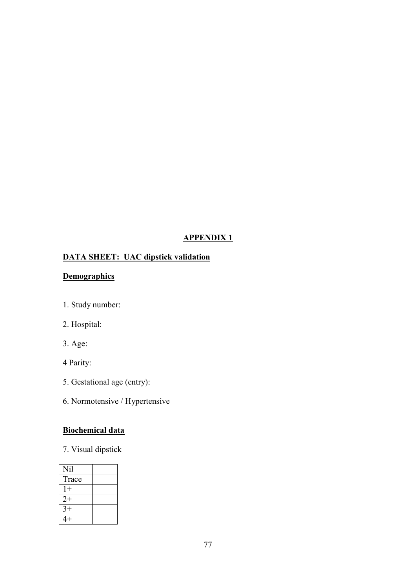# **APPENDIX 1**

# **DATA SHEET: UAC dipstick validation**

# **Demographics**

- 1. Study number:
- 2. Hospital:
- 3. Age:
- 4 Parity:
- 5. Gestational age (entry):
- 6. Normotensive / Hypertensive

# **Biochemical data**

7. Visual dipstick

| Nil   |  |
|-------|--|
| Trace |  |
| $1+$  |  |
| $2+$  |  |
| $3+$  |  |
| $4+$  |  |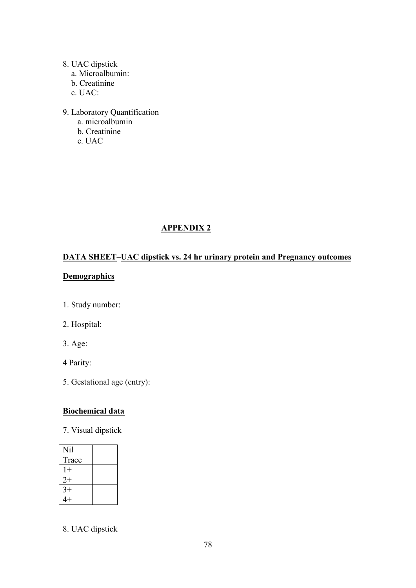# 8. UAC dipstick

- a. Microalbumin:
- b. Creatinine
- c. UAC:
- 9. Laboratory Quantification
	- a. microalbumin
	- b. Creatinine
	- c. UAC

# **APPENDIX 2**

# **DATA SHEET–UAC dipstick vs. 24 hr urinary protein and Pregnancy outcomes**

# **Demographics**

- 1. Study number:
- 2. Hospital:
- 3. Age:
- 4 Parity:
- 5. Gestational age (entry):

# **Biochemical data**

7. Visual dipstick

| Nil   |  |
|-------|--|
| Trace |  |
| $1+$  |  |
| $2+$  |  |
| $3+$  |  |
| $4+$  |  |

8. UAC dipstick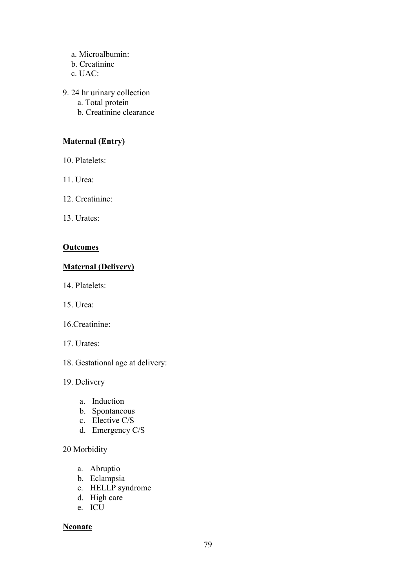- a. Microalbumin:
- b. Creatinine
- c. UAC:
- 9. 24 hr urinary collection
	- a. Total protein
	- b. Creatinine clearance

# **Maternal (Entry)**

- 10. Platelets:
- 11. Urea:
- 12. Creatinine:
- 13. Urates:

# **Outcomes**

# **Maternal (Delivery)**

- 14. Platelets:
- 15. Urea:
- 16.Creatinine:
- 17. Urates:
- 18. Gestational age at delivery:
- 19. Delivery
	- a. Induction
	- b. Spontaneous
	- c. Elective C/S
	- d. Emergency C/S

## 20 Morbidity

- a. Abruptio
- b. Eclampsia
- c. HELLP syndrome
- d. High care
- e. ICU

## **Neonate**